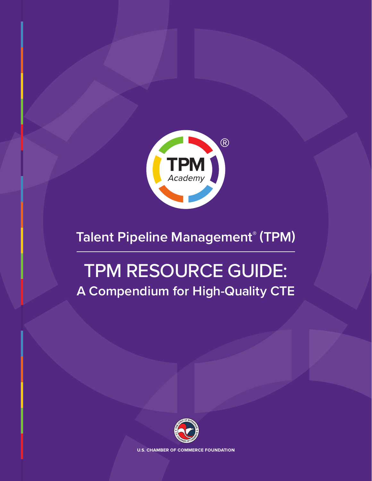

## **Talent Pipeline Management® (TPM)**

# TPM RESOURCE GUIDE: **A Compendium for High-Quality CTE**



**U.S. CHAMBER OF COMMERCE FOUNDATION**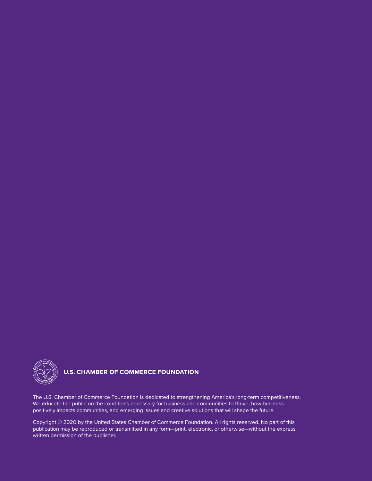

### **U.S. CHAMBER OF COMMERCE FOUNDATION**

The U.S. Chamber of Commerce Foundation is dedicated to strengthening America's long-term competitiveness. We educate the public on the conditions necessary for business and communities to thrive, how business positively impacts communities, and emerging issues and creative solutions that will shape the future.

Copyright © 2020 by the United States Chamber of Commerce Foundation. All rights reserved. No part of this publication may be reproduced or transmitted in any form—print, electronic, or otherwise—without the express written permission of the publisher.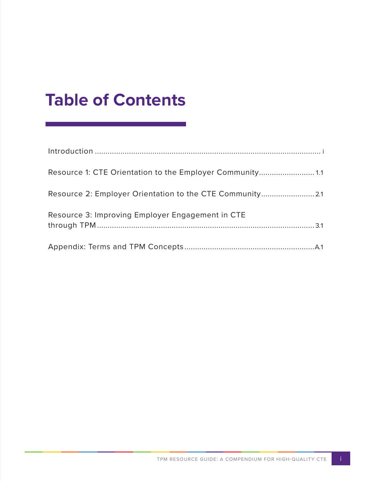## **Table of Contents**

| Resource 3: Improving Employer Engagement in CTE |
|--------------------------------------------------|
|                                                  |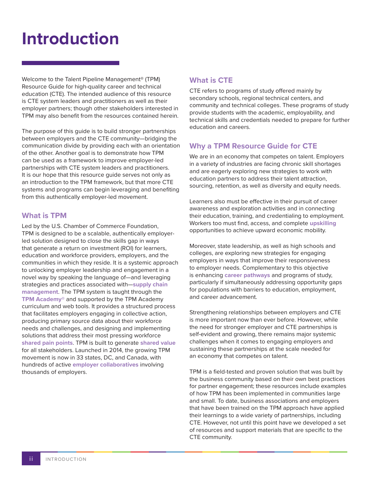## <span id="page-3-0"></span>**Introduction**

Welcome to the Talent Pipeline Management® (TPM) Resource Guide for high-quality career and technical education (CTE). The intended audience of this resource is CTE system leaders and practitioners as well as their employer partners; though other stakeholders interested in TPM may also benefit from the resources contained herein.

The purpose of this guide is to build stronger partnerships between employers and the CTE community—bridging the communication divide by providing each with an orientation of the other. Another goal is to demonstrate how TPM can be used as a framework to improve employer-led partnerships with CTE system leaders and practitioners. It is our hope that this resource guide serves not only as an introduction to the TPM framework, but that more CTE systems and programs can begin leveraging and benefiting from this authentically employer-led movement.

#### **What is TPM**

Led by the U.S. Chamber of Commerce Foundation, TPM is designed to be a scalable, authentically employerled solution designed to close the skills gap in ways that generate a return on investment (ROI) for learners, education and workforce providers, employers, and the communities in which they reside. It is a systemic approach to unlocking employer leadership and engagement in a novel way by speaking the language of—and leveraging strategies and practices associated with—**supply chain management**. The TPM system is taught through the **TPM Academy®** and supported by the TPM Academy curriculum and web tools. It provides a structured process that facilitates employers engaging in collective action, producing primary source data about their workforce needs and challenges, and designing and implementing solutions that address their most pressing workforce **shared pain points**. TPM is built to generate **shared value** for all stakeholders. Launched in 2014, the growing TPM movement is now in 33 states, DC, and Canada, with hundreds of active **employer collaboratives** involving thousands of employers.

### **What is CTE**

CTE refers to programs of study offered mainly by secondary schools, regional technical centers, and community and technical colleges. These programs of study provide students with the academic, employability, and technical skills and credentials needed to prepare for further education and careers.

### **Why a TPM Resource Guide for CTE**

We are in an economy that competes on talent. Employers in a variety of industries are facing chronic skill shortages and are eagerly exploring new strategies to work with education partners to address their talent attraction, sourcing, retention, as well as diversity and equity needs.

Learners also must be effective in their pursuit of career awareness and exploration activities and in connecting their education, training, and credentialing to employment. Workers too must find, access, and complete **upskilling** opportunities to achieve upward economic mobility.

Moreover, state leadership, as well as high schools and colleges, are exploring new strategies for engaging employers in ways that improve their responsiveness to employer needs. Complementary to this objective is enhancing **career pathways** and programs of study, particularly if simultaneously addressing opportunity gaps for populations with barriers to education, employment, and career advancement.

Strengthening relationships between employers and CTE is more important now than ever before. However, while the need for stronger employer and CTE partnerships is self-evident and growing, there remains major systemic challenges when it comes to engaging employers and sustaining these partnerships at the scale needed for an economy that competes on talent.

TPM is a field-tested and proven solution that was built by the business community based on their own best practices for partner engagement; these resources include examples of how TPM has been implemented in communities large and small. To date, business associations and employers that have been trained on the TPM approach have applied their learnings to a wide variety of partnerships, including CTE. However, not until this point have we developed a set of resources and support materials that are specific to the CTE community.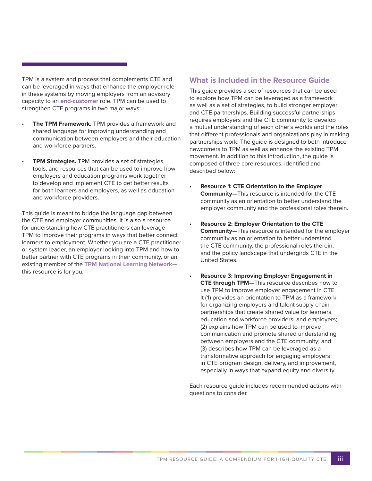TPM is a system and process that complements CTE and can be leveraged in ways that enhance the employer role in these systems by moving employers from an advisory capacity to an **end-customer** role. TPM can be used to strengthen CTE programs in two major ways:

- **The TPM Framework.** TPM provides a framework and shared language for improving understanding and communication between employers and their education and workforce partners.
- **TPM Strategies.** TPM provides a set of strategies, tools, and resources that can be used to improve how employers and education programs work together to develop and implement CTE to get better results for both learners and employers, as well as education and workforce providers.

This guide is meant to bridge the language gap between the CTE and employer communities. It is also a resource for understanding how CTE practitioners can leverage TPM to improve their programs in ways that better connect learners to employment. Whether you are a CTE practitioner or system leader, an employer looking into TPM and how to better partner with CTE programs in their community, or an existing member of the **TPM National Learning Network** this resource is for you.

#### **What is Included in the Resource Guide**

This guide provides a set of resources that can be used to explore how TPM can be leveraged as a framework as well as a set of strategies, to build stronger employer and CTE partnerships. Building successful partnerships requires employers and the CTE community to develop a mutual understanding of each other's worlds and the roles that different professionals and organizations play in making partnerships work. The guide is designed to both introduce newcomers to TPM as well as enhance the existing TPM movement. In addition to this introduction, the guide is composed of three core resources, identified and described below:

- **Resource 1: CTE Orientation to the Employer Community—**This resource is intended for the CTE community as an orientation to better understand the employer community and the professional roles therein.
- **Resource 2: Employer Orientation to the CTE Community—**This resource is intended for the employer community as an orientation to better understand the CTE community, the professional roles therein, and the policy landscape that undergirds CTE in the United States.
- **Resource 3: Improving Employer Engagement in CTE through TPM—**This resource describes how to use TPM to improve employer engagement in CTE. It (1) provides an orientation to TPM as a framework for organizing employers and talent supply chain partnerships that create shared value for learners, education and workforce providers, and employers; (2) explains how TPM can be used to improve communication and promote shared understanding between employers and the CTE community; and (3) describes how TPM can be leveraged as a transformative approach for engaging employers in CTE program design, delivery, and improvement, especially in ways that expand equity and diversity.

Each resource guide includes recommended actions with questions to consider.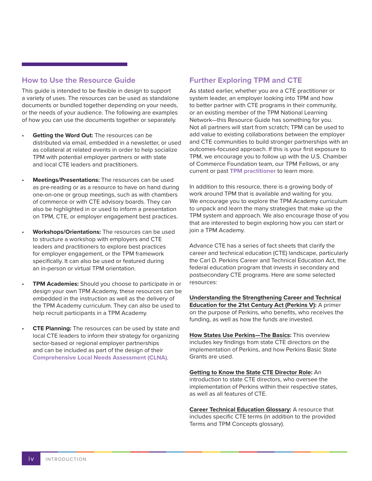#### **How to Use the Resource Guide**

This guide is intended to be flexible in design to support a variety of uses. The resources can be used as standalone documents or bundled together depending on your needs, or the needs of your audience. The following are examples of how you can use the documents together or separately.

- **Getting the Word Out: The resources can be** distributed via email, embedded in a newsletter, or used as collateral at related events in order to help socialize TPM with potential employer partners or with state and local CTE leaders and practitioners.
- **Meetings/Presentations:** The resources can be used as pre-reading or as a resource to have on hand during one-on-one or group meetings, such as with chambers of commerce or with CTE advisory boards. They can also be highlighted in or used to inform a presentation on TPM, CTE, or employer engagement best practices.
- **Workshops/Orientations:** The resources can be used to structure a workshop with employers and CTE leaders and practitioners to explore best practices for employer engagement, or the TPM framework specifically. It can also be used or featured during an in-person or virtual TPM orientation.
- **TPM Academies:** Should you choose to participate in or design your own TPM Academy, these resources can be embedded in the instruction as well as the delivery of the TPM Academy curriculum. They can also be used to help recruit participants in a TPM Academy.
- **CTE Planning:** The resources can be used by state and local CTE leaders to inform their strategy for organizing sector-based or regional employer partnerships and can be included as part of the design of their **Comprehensive Local Needs Assessment (CLNA)**.

### **Further Exploring TPM and CTE**

As stated earlier, whether you are a CTE practitioner or system leader, an employer looking into TPM and how to better partner with CTE programs in their community, or an existing member of the TPM National Learning Network—this Resource Guide has something for you. Not all partners will start from scratch; TPM can be used to add value to existing collaborations between the employer and CTE communities to build stronger partnerships with an outcomes-focused approach. If this is your first exposure to TPM, we encourage you to follow up with the U.S. Chamber of Commerce Foundation team, our TPM Fellows, or any current or past **TPM practitioner** to learn more.

In addition to this resource, there is a growing body of work around TPM that is available and waiting for you. We encourage you to explore the TPM Academy curriculum to unpack and learn the many strategies that make up the TPM system and approach. We also encourage those of you that are interested to begin exploring how you can start or join a TPM Academy.

Advance CTE has a series of fact sheets that clarify the career and technical education (CTE) landscape, particularly the Carl D. Perkins Career and Technical Education Act, the federal education program that invests in secondary and postsecondary CTE programs. Here are some selected resources:

**[Understanding the Strengthening Career and Technical](https://cte.careertech.org/sites/default/files/documents/fact-sheets/UnderstandingPerkinsV_UpdatedAugust2018.pdf)  [Education for the 21st Century Act \(Perkins V\):](https://cte.careertech.org/sites/default/files/documents/fact-sheets/UnderstandingPerkinsV_UpdatedAugust2018.pdf)** A primer on the purpose of Perkins, who benefits, who receives the funding, as well as how the funds are invested.

**[How States Use Perkins—The Basics](https://cte.careertech.org/sites/default/files/documents/fact-sheets/How_States_Use_Perkins-The_Basics-2018.pdf):** This overview includes key findings from state CTE directors on the implementation of Perkins, and how Perkins Basic State Grants are used.

**[Getting to Know the State CTE Director Role](https://cte.careertech.org/sites/default/files/documents/fact-sheets/Getting_to_Know_State_CTE_Director_Role_2018.pdf):** An introduction to state CTE directors, who oversee the implementation of Perkins within their respective states, as well as all features of CTE.

**[Career Technical Education Glossary](https://cte.careertech.org/sites/default/files/documents/fact-sheets/AdvanceCTE_Glossary_August2018.pdf):** A resource that includes specific CTE terms (in addition to the provided Terms and TPM Concepts glossary).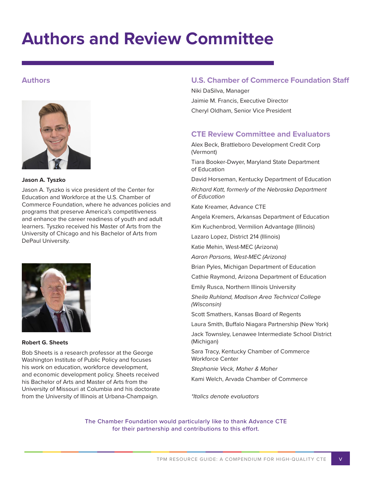## **Authors and Review Committee**

#### **Authors**



**Jason A. Tyszko**

Jason A. Tyszko is vice president of the Center for Education and Workforce at the U.S. Chamber of Commerce Foundation, where he advances policies and programs that preserve America's competitiveness and enhance the career readiness of youth and adult learners. Tyszko received his Master of Arts from the University of Chicago and his Bachelor of Arts from DePaul University.



**Robert G. Sheets**

Bob Sheets is a research professor at the George Washington Institute of Public Policy and focuses his work on education, workforce development, and economic development policy. Sheets received his Bachelor of Arts and Master of Arts from the University of Missouri at Columbia and his doctorate from the University of Illinois at Urbana-Champaign.

#### **U.S. Chamber of Commerce Foundation Staff**

Niki DaSilva, Manager Jaimie M. Francis, Executive Director Cheryl Oldham, Senior Vice President

### **CTE Review Committee and Evaluators**

Alex Beck, Brattleboro Development Credit Corp (Vermont)

Tiara Booker-Dwyer, Maryland State Department of Education

David Horseman, Kentucky Department of Education

*Richard Katt, formerly of the Nebraska Department of Education*

Kate Kreamer, Advance CTE

Angela Kremers, Arkansas Department of Education

Kim Kuchenbrod, Vermilion Advantage (Illinois)

Lazaro Lopez, District 214 (Illinois)

Katie Mehin, West-MEC (Arizona)

*Aaron Parsons, West-MEC (Arizona)*

Brian Pyles, Michigan Department of Education

Cathie Raymond, Arizona Department of Education

Emily Rusca, Northern Illinois University

*Sheila Ruhland, Madison Area Technical College (Wisconsin)* 

Scott Smathers, Kansas Board of Regents

Laura Smith, Buffalo Niagara Partnership (New York)

Jack Townsley, Lenawee Intermediate School District (Michigan)

Sara Tracy, Kentucky Chamber of Commerce Workforce Center

*Stephanie Veck, Maher & Maher*

Kami Welch, Arvada Chamber of Commerce

*\*Italics denote evaluators*

The Chamber Foundation would particularly like to thank Advance CTE for their partnership and contributions to this effort.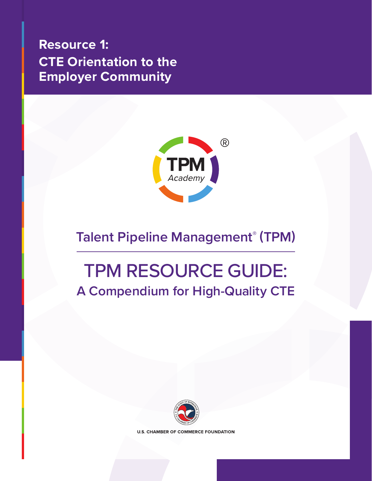<span id="page-7-0"></span>**Resource 1: [CTE Orientation to the](#page-8-0)  Employer Community**



## **Talent Pipeline Management® (TPM)**

## TPM RESOURCE GUIDE: **A Compendium for High-Quality CTE**



**U.S. CHAMBER OF COMMERCE FOUNDATION**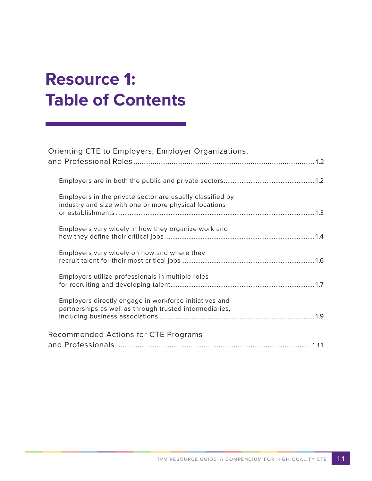# <span id="page-8-0"></span>**Resource 1: Table of Contents**

| Orienting CTE to Employers, Employer Organizations,                                                                |
|--------------------------------------------------------------------------------------------------------------------|
|                                                                                                                    |
|                                                                                                                    |
| Employers in the private sector are usually classified by<br>industry and size with one or more physical locations |
| Employers vary widely in how they organize work and                                                                |
| Employers vary widely on how and where they                                                                        |
| Employers utilize professionals in multiple roles                                                                  |
| Employers directly engage in workforce initiatives and<br>partnerships as well as through trusted intermediaries,  |
| Recommended Actions for CTE Programs                                                                               |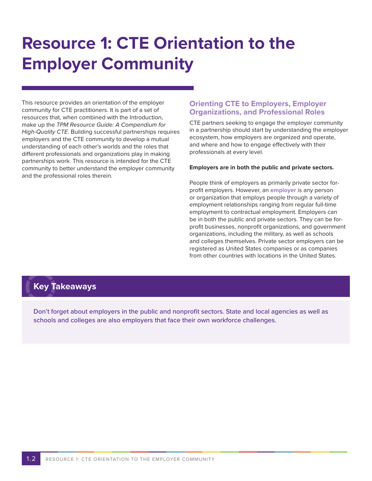# **Resource 1: CTE Orientation to the Employer Community**

This resource provides an orientation of the employer community for CTE practitioners. It is part of a set of resources that, when combined with the Introduction, make up the *TPM Resource Guide: A Compendium for High-Quality CTE*. Building successful partnerships requires employers and the CTE community to develop a mutual understanding of each other's worlds and the roles that different professionals and organizations play in making partnerships work. This resource is intended for the CTE community to better understand the employer community and the professional roles therein.

#### **Orienting CTE to Employers, Employer Organizations, and Professional Roles**

CTE partners seeking to engage the employer community in a partnership should start by understanding the employer ecosystem, how employers are organized and operate, and where and how to engage effectively with their professionals at every level.

#### **Employers are in both the public and private sectors.**

People think of employers as primarily private sector forprofit employers. However, an **employer** is any person or organization that employs people through a variety of employment relationships ranging from regular full-time employment to contractual employment. Employers can be in both the public and private sectors. They can be forprofit businesses, nonprofit organizations, and government organizations, including the military, as well as schools and colleges themselves. Private sector employers can be registered as United States companies or as companies from other countries with locations in the United States.

### **Key Takeaways**

Don't forget about employers in the public and nonprofit sectors. State and local agencies as well as schools and colleges are also employers that face their own workforce challenges.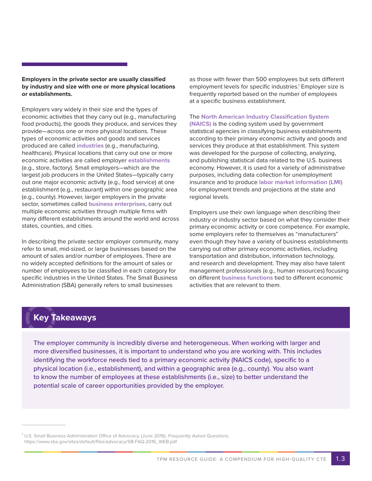#### **Employers in the private sector are usually classified by industry and size with one or more physical locations or establishments.**

Employers vary widely in their size and the types of economic activities that they carry out (e.g., manufacturing food products), the goods they produce, and services they provide—across one or more physical locations. These types of economic activities and goods and services produced are called **industries** (e.g., manufacturing, healthcare). Physical locations that carry out one or more economic activities are called employer **establishments** (e.g., store, factory). Small employers—which are the largest job producers in the United States—typically carry out one major economic activity (e.g., food service) at one establishment (e.g., restaurant) within one geographic area (e.g., county). However, larger employers in the private sector, sometimes called **business enterprises**, carry out multiple economic activities through multiple firms with many different establishments around the world and across states, counties, and cities.

In describing the private sector employer community, many refer to small, mid-sized, or large businesses based on the amount of sales and/or number of employees. There are no widely accepted definitions for the amount of sales or number of employees to be classified in each category for specific industries in the United States. The Small Business Administration (SBA) generally refers to small businesses

as those with fewer than 500 employees but sets different employment levels for specific industries.<sup>1</sup> Employer size is frequently reported based on the number of employees at a specific business establishment.

#### The **North American Industry Classification System**

**(NAICS)** is the coding system used by government statistical agencies in classifying business establishments according to their primary economic activity and goods and services they produce at that establishment. This system was developed for the purpose of collecting, analyzing, and publishing statistical data related to the U.S. business economy. However, it is used for a variety of administrative purposes, including data collection for unemployment insurance and to produce **labor market information (LMI)** for employment trends and projections at the state and regional levels.

Employers use their own language when describing their industry or industry sector based on what they consider their primary economic activity or core competence. For example, some employers refer to themselves as "manufacturers" even though they have a variety of business establishments carrying out other primary economic activities, including transportation and distribution, information technology, and research and development. They may also have talent management professionals (e.g., human resources) focusing on different **business functions** tied to different economic activities that are relevant to them.

## **Key Takeaways**

The employer community is incredibly diverse and heterogeneous. When working with larger and more diversified businesses, it is important to understand who you are working with. This includes identifying the workforce needs tied to a primary economic activity (NAICS code), specific to a physical location (i.e., establishment), and within a geographic area (e.g., county). You also want to know the number of employees at these establishments (i.e., size) to better understand the potential scale of career opportunities provided by the employer.

<sup>1</sup> U.S. Small Business Administration Office of Advocacy. (June 2016). *Frequently Asked Questions*. https://www.sba.gov/sites/default/files/advocacy/SB-FAQ-2016\_WEB.pdf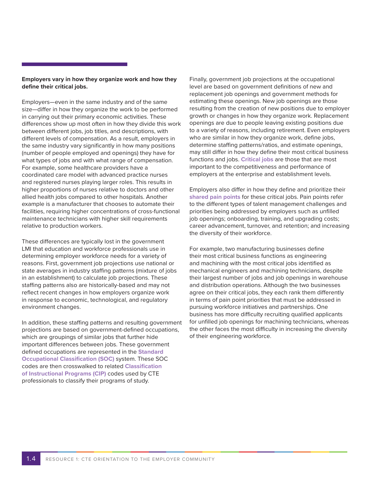#### **Employers vary in how they organize work and how they define their critical jobs.**

Employers—even in the same industry and of the same size—differ in how they organize the work to be performed in carrying out their primary economic activities. These differences show up most often in how they divide this work between different jobs, job titles, and descriptions, with different levels of compensation. As a result, employers in the same industry vary significantly in how many positions (number of people employed and openings) they have for what types of jobs and with what range of compensation. For example, some healthcare providers have a coordinated care model with advanced practice nurses and registered nurses playing larger roles. This results in higher proportions of nurses relative to doctors and other allied health jobs compared to other hospitals. Another example is a manufacturer that chooses to automate their facilities, requiring higher concentrations of cross-functional maintenance technicians with higher skill requirements relative to production workers.

These differences are typically lost in the government LMI that education and workforce professionals use in determining employer workforce needs for a variety of reasons. First, government job projections use national or state averages in industry staffing patterns (mixture of jobs in an establishment) to calculate job projections. These staffing patterns also are historically-based and may not reflect recent changes in how employers organize work in response to economic, technological, and regulatory environment changes.

In addition, these staffing patterns and resulting government projections are based on government-defined occupations, which are groupings of similar jobs that further hide important differences between jobs. These government defined occupations are represented in the **Standard Occupational Classification (SOC)** system. These SOC codes are then crosswalked to related **Classification of Instructional Programs (CIP)** codes used by CTE professionals to classify their programs of study.

Finally, government job projections at the occupational level are based on government definitions of new and replacement job openings and government methods for estimating these openings. New job openings are those resulting from the creation of new positions due to employer growth or changes in how they organize work. Replacement openings are due to people leaving existing positions due to a variety of reasons, including retirement. Even employers who are similar in how they organize work, define jobs, determine staffing patterns/ratios, and estimate openings, may still differ in how they define their most critical business functions and jobs. **Critical jobs** are those that are most important to the competitiveness and performance of employers at the enterprise and establishment levels.

Employers also differ in how they define and prioritize their **shared pain points** for these critical jobs. Pain points refer to the different types of talent management challenges and priorities being addressed by employers such as unfilled job openings; onboarding, training, and upgrading costs; career advancement, turnover, and retention; and increasing the diversity of their workforce.

For example, two manufacturing businesses define their most critical business functions as engineering and machining with the most critical jobs identified as mechanical engineers and machining technicians, despite their largest number of jobs and job openings in warehouse and distribution operations. Although the two businesses agree on their critical jobs, they each rank them differently in terms of pain point priorities that must be addressed in pursuing workforce initiatives and partnerships. One business has more difficulty recruiting qualified applicants for unfilled job openings for machining technicians, whereas the other faces the most difficulty in increasing the diversity of their engineering workforce.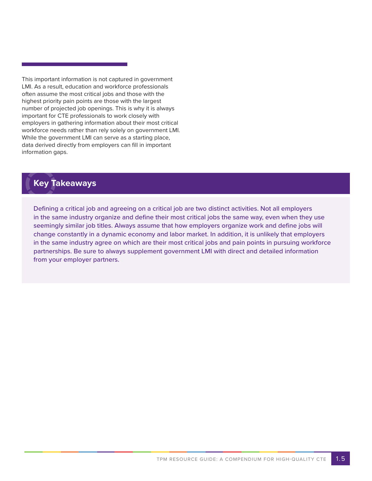This important information is not captured in government LMI. As a result, education and workforce professionals often assume the most critical jobs and those with the highest priority pain points are those with the largest number of projected job openings. This is why it is always important for CTE professionals to work closely with employers in gathering information about their most critical workforce needs rather than rely solely on government LMI. While the government LMI can serve as a starting place, data derived directly from employers can fill in important information gaps.

### **Key Takeaways**

Defining a critical job and agreeing on a critical job are two distinct activities. Not all employers in the same industry organize and define their most critical jobs the same way, even when they use seemingly similar job titles. Always assume that how employers organize work and define jobs will change constantly in a dynamic economy and labor market. In addition, it is unlikely that employers in the same industry agree on which are their most critical jobs and pain points in pursuing workforce partnerships. Be sure to always supplement government LMI with direct and detailed information from your employer partners.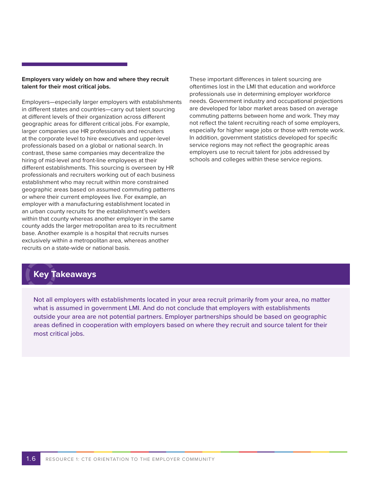#### **Employers vary widely on how and where they recruit talent for their most critical jobs.**

Employers—especially larger employers with establishments in different states and countries—carry out talent sourcing at different levels of their organization across different geographic areas for different critical jobs. For example, larger companies use HR professionals and recruiters at the corporate level to hire executives and upper-level professionals based on a global or national search. In contrast, these same companies may decentralize the hiring of mid-level and front-line employees at their different establishments. This sourcing is overseen by HR professionals and recruiters working out of each business establishment who may recruit within more constrained geographic areas based on assumed commuting patterns or where their current employees live. For example, an employer with a manufacturing establishment located in an urban county recruits for the establishment's welders within that county whereas another employer in the same county adds the larger metropolitan area to its recruitment base. Another example is a hospital that recruits nurses exclusively within a metropolitan area, whereas another recruits on a state-wide or national basis.

These important differences in talent sourcing are oftentimes lost in the LMI that education and workforce professionals use in determining employer workforce needs. Government industry and occupational projections are developed for labor market areas based on average commuting patterns between home and work. They may not reflect the talent recruiting reach of some employers, especially for higher wage jobs or those with remote work. In addition, government statistics developed for specific service regions may not reflect the geographic areas employers use to recruit talent for jobs addressed by schools and colleges within these service regions.

### **Key Takeaways**

Not all employers with establishments located in your area recruit primarily from your area, no matter what is assumed in government LMI. And do not conclude that employers with establishments outside your area are not potential partners. Employer partnerships should be based on geographic areas defined in cooperation with employers based on where they recruit and source talent for their most critical jobs.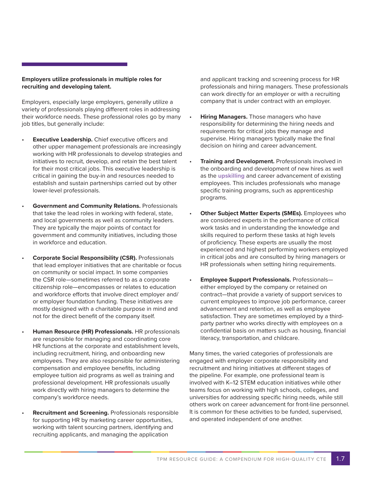#### **Employers utilize professionals in multiple roles for recruiting and developing talent.**

Employers, especially large employers, generally utilize a variety of professionals playing different roles in addressing their workforce needs. These professional roles go by many job titles, but generally include:

- **Executive Leadership.** Chief executive officers and other upper management professionals are increasingly working with HR professionals to develop strategies and initiatives to recruit, develop, and retain the best talent for their most critical jobs. This executive leadership is critical in gaining the buy-in and resources needed to establish and sustain partnerships carried out by other lower-level professionals.
- **Government and Community Relations.** Professionals that take the lead roles in working with federal, state, and local governments as well as community leaders. They are typically the major points of contact for government and community initiatives, including those in workforce and education.
- **Corporate Social Responsibility (CSR).** Professionals that lead employer initiatives that are charitable or focus on community or social impact. In some companies the CSR role—sometimes referred to as a corporate citizenship role—encompasses or relates to education and workforce efforts that involve direct employer and/ or employer foundation funding. These initiatives are mostly designed with a charitable purpose in mind and not for the direct benefit of the company itself.
- **Human Resource (HR) Professionals.** HR professionals are responsible for managing and coordinating core HR functions at the corporate and establishment levels, including recruitment, hiring, and onboarding new employees. They are also responsible for administering compensation and employee benefits, including employee tuition aid programs as well as training and professional development. HR professionals usually work directly with hiring managers to determine the company's workforce needs.
- **Recruitment and Screening.** Professionals responsible for supporting HR by marketing career opportunities, working with talent sourcing partners, identifying and recruiting applicants, and managing the application

and applicant tracking and screening process for HR professionals and hiring managers. These professionals can work directly for an employer or with a recruiting company that is under contract with an employer.

- **Hiring Managers.** Those managers who have responsibility for determining the hiring needs and requirements for critical jobs they manage and supervise. Hiring managers typically make the final decision on hiring and career advancement.
- **Training and Development.** Professionals involved in the onboarding and development of new hires as well as the **upskilling** and career advancement of existing employees. This includes professionals who manage specific training programs, such as apprenticeship programs.
- **Other Subject Matter Experts (SMEs).** Employees who are considered experts in the performance of critical work tasks and in understanding the knowledge and skills required to perform these tasks at high levels of proficiency. These experts are usually the most experienced and highest performing workers employed in critical jobs and are consulted by hiring managers or HR professionals when setting hiring requirements.
- **Employee Support Professionals.** Professionals either employed by the company or retained on contract—that provide a variety of support services to current employees to improve job performance, career advancement and retention, as well as employee satisfaction. They are sometimes employed by a thirdparty partner who works directly with employees on a confidential basis on matters such as housing, financial literacy, transportation, and childcare.

Many times, the varied categories of professionals are engaged with employer corporate responsibility and recruitment and hiring initiatives at different stages of the pipeline. For example, one professional team is involved with K–12 STEM education initiatives while other teams focus on working with high schools, colleges, and universities for addressing specific hiring needs, while still others work on career advancement for front-line personnel. It is common for these activities to be funded, supervised, and operated independent of one another.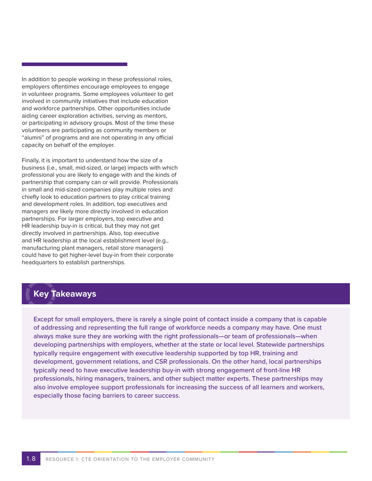In addition to people working in these professional roles, employers oftentimes encourage employees to engage in volunteer programs. Some employees volunteer to get involved in community initiatives that include education and workforce partnerships. Other opportunities include aiding career exploration activities, serving as mentors, or participating in advisory groups. Most of the time these volunteers are participating as community members or "alumni" of programs and are not operating in any official capacity on behalf of the employer.

Finally, it is important to understand how the size of a business (i.e., small, mid-sized, or large) impacts with which professional you are likely to engage with and the kinds of partnership that company can or will provide. Professionals in small and mid-sized companies play multiple roles and chiefly look to education partners to play critical training and development roles. In addition, top executives and managers are likely more directly involved in education partnerships. For larger employers, top executive and HR leadership buy-in is critical, but they may not get directly involved in partnerships. Also, top executive and HR leadership at the local establishment level (e.g., manufacturing plant managers, retail store managers) could have to get higher-level buy-in from their corporate headquarters to establish partnerships.

### **Key Takeaways**

Except for small employers, there is rarely a single point of contact inside a company that is capable of addressing and representing the full range of workforce needs a company may have. One must always make sure they are working with the right professionals—or team of professionals—when developing partnerships with employers, whether at the state or local level. Statewide partnerships typically require engagement with executive leadership supported by top HR, training and development, government relations, and CSR professionals. On the other hand, local partnerships typically need to have executive leadership buy-in with strong engagement of front-line HR professionals, hiring managers, trainers, and other subject matter experts. These partnerships may also involve employee support professionals for increasing the success of all learners and workers, especially those facing barriers to career success.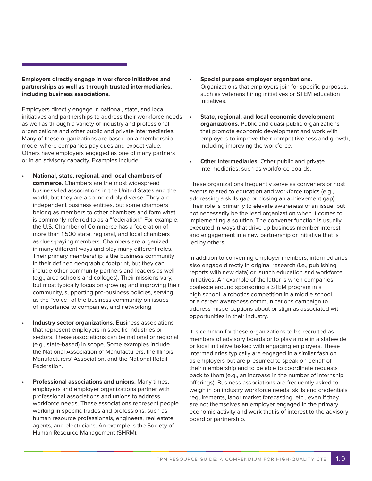#### **Employers directly engage in workforce initiatives and partnerships as well as through trusted intermediaries, including business associations.**

Employers directly engage in national, state, and local initiatives and partnerships to address their workforce needs as well as through a variety of industry and professional organizations and other public and private intermediaries. Many of these organizations are based on a membership model where companies pay dues and expect value. Others have employers engaged as one of many partners or in an advisory capacity. Examples include:

- **National, state, regional, and local chambers of commerce.** Chambers are the most widespread business-led associations in the United States and the world, but they are also incredibly diverse. They are independent business entities, but some chambers belong as members to other chambers and form what is commonly referred to as a "federation." For example, the U.S. Chamber of Commerce has a federation of more than 1,500 state, regional, and local chambers as dues-paying members. Chambers are organized in many different ways and play many different roles. Their primary membership is the business community in their defined geographic footprint, but they can include other community partners and leaders as well (e.g., area schools and colleges). Their missions vary, but most typically focus on growing and improving their community, supporting pro-business policies, serving as the "voice" of the business community on issues of importance to companies, and networking.
	- **Industry sector organizations.** Business associations that represent employers in specific industries or sectors. These associations can be national or regional (e.g., state-based) in scope. Some examples include the National Association of Manufacturers, the Illinois Manufacturers' Association, and the National Retail Federation.
- **Professional associations and unions.** Many times, employers and employer organizations partner with professional associations and unions to address workforce needs. These associations represent people working in specific trades and professions, such as human resource professionals, engineers, real estate agents, and electricians. An example is the Society of Human Resource Management (SHRM).
- **Special purpose employer organizations.** Organizations that employers join for specific purposes, such as veterans hiring initiatives or STEM education initiatives.
- **State, regional, and local economic development organizations.** Public and quasi-public organizations that promote economic development and work with employers to improve their competitiveness and growth, including improving the workforce.
- **Other intermediaries.** Other public and private intermediaries, such as workforce boards.

These organizations frequently serve as conveners or host events related to education and workforce topics (e.g., addressing a skills gap or closing an achievement gap). Their role is primarily to elevate awareness of an issue, but not necessarily be the lead organization when it comes to implementing a solution. The convener function is usually executed in ways that drive up business member interest and engagement in a new partnership or initiative that is led by others.

In addition to convening employer members, intermediaries also engage directly in original research (i.e., publishing reports with new data) or launch education and workforce initiatives. An example of the latter is when companies coalesce around sponsoring a STEM program in a high school, a robotics competition in a middle school, or a career awareness communications campaign to address misperceptions about or stigmas associated with opportunities in their industry.

It is common for these organizations to be recruited as members of advisory boards or to play a role in a statewide or local initiative tasked with engaging employers. These intermediaries typically are engaged in a similar fashion as employers but are presumed to speak on behalf of their membership and to be able to coordinate requests back to them (e.g., an increase in the number of internship offerings). Business associations are frequently asked to weigh in on industry workforce needs, skills and credentials requirements, labor market forecasting, etc., even if they are not themselves an employer engaged in the primary economic activity and work that is of interest to the advisory board or partnership.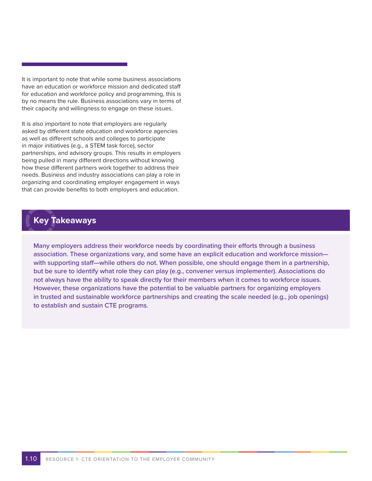It is important to note that while some business associations have an education or workforce mission and dedicated staff for education and workforce policy and programming, this is by no means the rule. Business associations vary in terms of their capacity and willingness to engage on these issues.

It is also important to note that employers are regularly asked by different state education and workforce agencies as well as different schools and colleges to participate in major initiatives (e.g., a STEM task force), sector partnerships, and advisory groups. This results in employers being pulled in many different directions without knowing how these different partners work together to address their needs. Business and industry associations can play a role in organizing and coordinating employer engagement in ways that can provide benefits to both employers and education.

### **Key Takeaways**

Many employers address their workforce needs by coordinating their efforts through a business association. These organizations vary, and some have an explicit education and workforce mission with supporting staff—while others do not. When possible, one should engage them in a partnership, but be sure to identify what role they can play (e.g., convener versus implementer). Associations do not always have the ability to speak directly for their members when it comes to workforce issues. However, these organizations have the potential to be valuable partners for organizing employers in trusted and sustainable workforce partnerships and creating the scale needed (e.g., job openings) to establish and sustain CTE programs.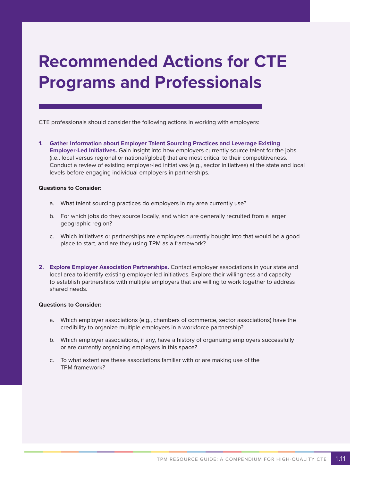## **Recommended Actions for CTE Programs and Professionals**

CTE professionals should consider the following actions in working with employers:

**1. Gather Information about Employer Talent Sourcing Practices and Leverage Existing Employer-Led Initiatives.** Gain insight into how employers currently source talent for the jobs (i.e., local versus regional or national/global) that are most critical to their competitiveness. Conduct a review of existing employer-led initiatives (e.g., sector initiatives) at the state and local levels before engaging individual employers in partnerships.

#### **Questions to Consider:**

- a. What talent sourcing practices do employers in my area currently use?
- b. For which jobs do they source locally, and which are generally recruited from a larger geographic region?
- c. Which initiatives or partnerships are employers currently bought into that would be a good place to start, and are they using TPM as a framework?
- **2. Explore Employer Association Partnerships.** Contact employer associations in your state and local area to identify existing employer-led initiatives. Explore their willingness and capacity to establish partnerships with multiple employers that are willing to work together to address shared needs.

#### **Questions to Consider:**

- a. Which employer associations (e.g., chambers of commerce, sector associations) have the credibility to organize multiple employers in a workforce partnership?
- b. Which employer associations, if any, have a history of organizing employers successfully or are currently organizing employers in this space?
- c. To what extent are these associations familiar with or are making use of the TPM framework?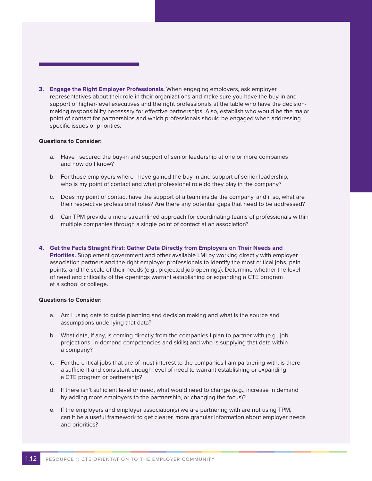**3. Engage the Right Employer Professionals.** When engaging employers, ask employer representatives about their role in their organizations and make sure you have the buy-in and support of higher-level executives and the right professionals at the table who have the decisionmaking responsibility necessary for effective partnerships. Also, establish who would be the major point of contact for partnerships and which professionals should be engaged when addressing specific issues or priorities.

#### **Questions to Consider:**

- a. Have I secured the buy-in and support of senior leadership at one or more companies and how do I know?
- b. For those employers where I have gained the buy-in and support of senior leadership, who is my point of contact and what professional role do they play in the company?
- c. Does my point of contact have the support of a team inside the company, and if so, what are their respective professional roles? Are there any potential gaps that need to be addressed?
- d. Can TPM provide a more streamlined approach for coordinating teams of professionals within multiple companies through a single point of contact at an association?
- **4. Get the Facts Straight First: Gather Data Directly from Employers on Their Needs and Priorities.** Supplement government and other available LMI by working directly with employer association partners and the right employer professionals to identify the most critical jobs, pain points, and the scale of their needs (e.g., projected job openings). Determine whether the level of need and criticality of the openings warrant establishing or expanding a CTE program at a school or college.

#### **Questions to Consider:**

- a. Am I using data to guide planning and decision making and what is the source and assumptions underlying that data?
- b. What data, if any, is coming directly from the companies I plan to partner with (e.g., job projections, in-demand competencies and skills) and who is supplying that data within a company?
- c. For the critical jobs that are of most interest to the companies I am partnering with, is there a sufficient and consistent enough level of need to warrant establishing or expanding a CTE program or partnership?
- d. If there isn't sufficient level or need, what would need to change (e.g., increase in demand by adding more employers to the partnership, or changing the focus)?
- e. If the employers and employer association(s) we are partnering with are not using TPM, can it be a useful framework to get clearer, more granular information about employer needs and priorities?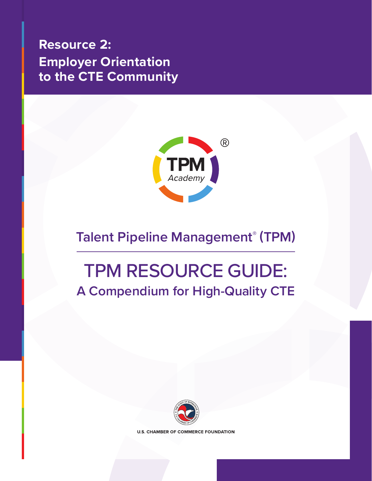## <span id="page-20-0"></span>**Resource 2: Employer Orientation to the CTE Community**



## **Talent Pipeline Management® (TPM)**

## TPM RESOURCE GUIDE: **A Compendium for High-Quality CTE**



**U.S. CHAMBER OF COMMERCE FOUNDATION**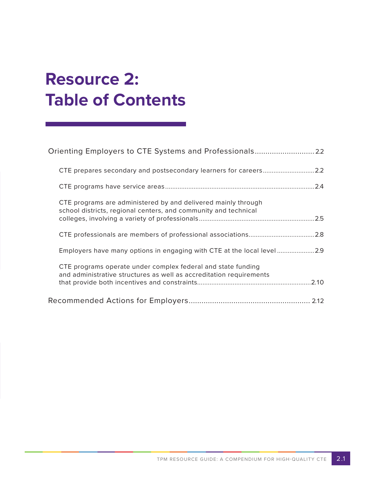# **Resource 2: Table of Contents**

| CTE prepares secondary and postsecondary learners for careers2.2                                                                    |
|-------------------------------------------------------------------------------------------------------------------------------------|
|                                                                                                                                     |
| CTE programs are administered by and delivered mainly through<br>school districts, regional centers, and community and technical    |
|                                                                                                                                     |
| Employers have many options in engaging with CTE at the local level2.9                                                              |
| CTE programs operate under complex federal and state funding<br>and administrative structures as well as accreditation requirements |
|                                                                                                                                     |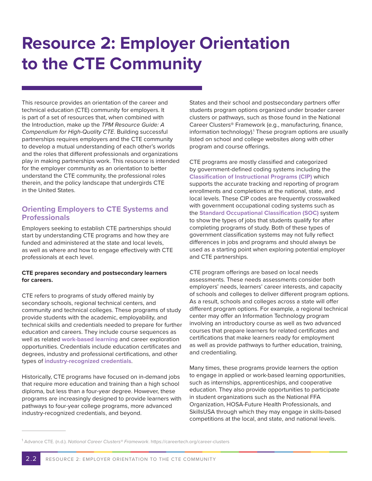# **Resource 2: Employer Orientation to the CTE Community**

This resource provides an orientation of the career and technical education (CTE) community for employers. It is part of a set of resources that, when combined with the Introduction, make up the *TPM Resource Guide: A Compendium for High-Quality CTE*. Building successful partnerships requires employers and the CTE community to develop a mutual understanding of each other's worlds and the roles that different professionals and organizations play in making partnerships work. This resource is intended for the employer community as an orientation to better understand the CTE community, the professional roles therein, and the policy landscape that undergirds CTE in the United States.

#### **Orienting Employers to CTE Systems and Professionals**

Employers seeking to establish CTE partnerships should start by understanding CTE programs and how they are funded and administered at the state and local levels, as well as where and how to engage effectively with CTE professionals at each level.

#### **CTE prepares secondary and postsecondary learners for careers.**

CTE refers to programs of study offered mainly by secondary schools, regional technical centers, and community and technical colleges. These programs of study provide students with the academic, employability, and technical skills and credentials needed to prepare for further education and careers. They include course sequences as well as related **work-based learning** and career exploration opportunities. Credentials include education certificates and degrees, industry and professional certifications, and other types of **industry-recognized credentials**.

Historically, CTE programs have focused on in-demand jobs that require more education and training than a high school diploma, but less than a four-year degree. However, these programs are increasingly designed to provide learners with pathways to four-year college programs, more advanced industry-recognized credentials, and beyond.

States and their school and postsecondary partners offer students program options organized under broader career clusters or pathways, such as those found in the National Career Clusters® Framework (e.g., manufacturing, finance, information technology).<sup>1</sup> These program options are usually listed on school and college websites along with other program and course offerings.

CTE programs are mostly classified and categorized by government-defined coding systems including the **Classification of Instructional Programs (CIP)** which supports the accurate tracking and reporting of program enrollments and completions at the national, state, and local levels. These CIP codes are frequently crosswalked with government occupational coding systems such as the **Standard Occupational Classification (SOC)** system to show the types of jobs that students qualify for after completing programs of study. Both of these types of government classification systems may not fully reflect differences in jobs and programs and should always be used as a starting point when exploring potential employer and CTE partnerships.

CTE program offerings are based on local needs assessments. These needs assessments consider both employers' needs, learners' career interests, and capacity of schools and colleges to deliver different program options. As a result, schools and colleges across a state will offer different program options. For example, a regional technical center may offer an Information Technology program involving an introductory course as well as two advanced courses that prepare learners for related certificates and certifications that make learners ready for employment as well as provide pathways to further education, training, and credentialing.

Many times, these programs provide learners the option to engage in applied or work-based learning opportunities, such as internships, apprenticeships, and cooperative education. They also provide opportunities to participate in student organizations such as the National FFA Organization, HOSA-Future Health Professionals, and SkillsUSA through which they may engage in skills-based competitions at the local, and state, and national levels.

<sup>1</sup> Advance CTE. (n.d.). *National Career Clusters® Framework*. https://careertech.org/career-clusters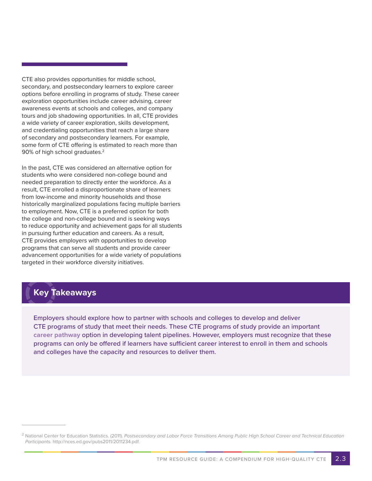CTE also provides opportunities for middle school, secondary, and postsecondary learners to explore career options before enrolling in programs of study. These career exploration opportunities include career advising, career awareness events at schools and colleges, and company tours and job shadowing opportunities. In all, CTE provides a wide variety of career exploration, skills development, and credentialing opportunities that reach a large share of secondary and postsecondary learners. For example, some form of CTE offering is estimated to reach more than 90% of high school graduates.<sup>2</sup>

In the past, CTE was considered an alternative option for students who were considered non-college bound and needed preparation to directly enter the workforce. As a result, CTE enrolled a disproportionate share of learners from low-income and minority households and those historically marginalized populations facing multiple barriers to employment. Now, CTE is a preferred option for both the college and non-college bound and is seeking ways to reduce opportunity and achievement gaps for all students in pursuing further education and careers. As a result, CTE provides employers with opportunities to develop programs that can serve all students and provide career advancement opportunities for a wide variety of populations targeted in their workforce diversity initiatives.

## **Key Takeaways**

Employers should explore how to partner with schools and colleges to develop and deliver CTE programs of study that meet their needs. These CTE programs of study provide an important **career pathway** option in developing talent pipelines. However, employers must recognize that these programs can only be offered if learners have sufficient career interest to enroll in them and schools and colleges have the capacity and resources to deliver them.

<sup>2</sup> National Center for Education Statistics. (2011). *Postsecondary and Labor Force Transitions Among Public High School Career and Technical Education Participants*. http://nces.ed.gov/pubs2011/2011234.pdf.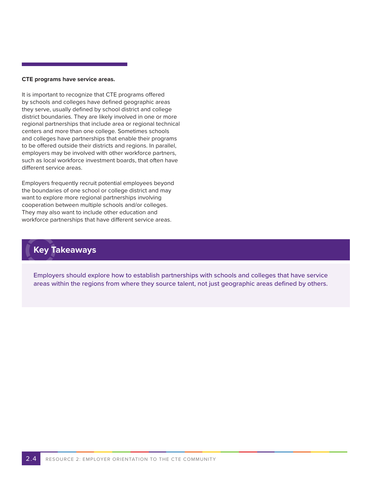#### **CTE programs have service areas.**

It is important to recognize that CTE programs offered by schools and colleges have defined geographic areas they serve, usually defined by school district and college district boundaries. They are likely involved in one or more regional partnerships that include area or regional technical centers and more than one college. Sometimes schools and colleges have partnerships that enable their programs to be offered outside their districts and regions. In parallel, employers may be involved with other workforce partners, such as local workforce investment boards, that often have different service areas.

Employers frequently recruit potential employees beyond the boundaries of one school or college district and may want to explore more regional partnerships involving cooperation between multiple schools and/or colleges. They may also want to include other education and workforce partnerships that have different service areas.

## **Key Takeaways**

Employers should explore how to establish partnerships with schools and colleges that have service areas within the regions from where they source talent, not just geographic areas defined by others.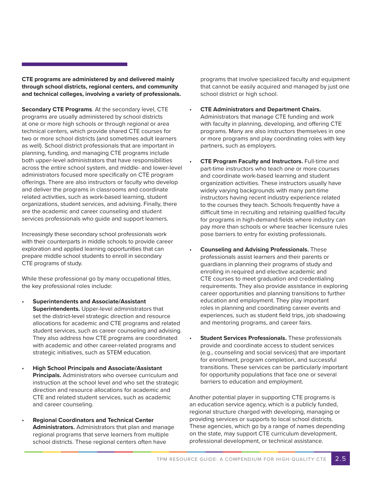**CTE programs are administered by and delivered mainly through school districts, regional centers, and community and technical colleges, involving a variety of professionals.**

**Secondary CTE Programs**. At the secondary level, CTE programs are usually administered by school districts at one or more high schools or through regional or area technical centers, which provide shared CTE courses for two or more school districts (and sometimes adult learners as well). School district professionals that are important in planning, funding, and managing CTE programs include both upper-level administrators that have responsibilities across the entire school system, and middle- and lower-level administrators focused more specifically on CTE program offerings. There are also instructors or faculty who develop and deliver the programs in classrooms and coordinate related activities, such as work-based learning, student organizations, student services, and advising. Finally, there are the academic and career counseling and student services professionals who guide and support learners.

Increasingly these secondary school professionals work with their counterparts in middle schools to provide career exploration and applied learning opportunities that can prepare middle school students to enroll in secondary CTE programs of study.

While these professional go by many occupational titles, the key professional roles include:

- **Superintendents and Associate/Assistant Superintendents.** Upper-level administrators that set the district-level strategic direction and resource allocations for academic and CTE programs and related student services, such as career counseling and advising. They also address how CTE programs are coordinated with academic and other career-related programs and strategic initiatives, such as STEM education.
- **High School Principals and Associate/Assistant Principals.** Administrators who oversee curriculum and instruction at the school level and who set the strategic direction and resource allocations for academic and CTE and related student services, such as academic and career counseling.
- **Regional Coordinators and Technical Center Administrators.** Administrators that plan and manage regional programs that serve learners from multiple school districts. These regional centers often have

programs that involve specialized faculty and equipment that cannot be easily acquired and managed by just one school district or high school.

- **CTE Administrators and Department Chairs.** Administrators that manage CTE funding and work with faculty in planning, developing, and offering CTE programs. Many are also instructors themselves in one or more programs and play coordinating roles with key partners, such as employers.
- **CTE Program Faculty and Instructors.** Full-time and part-time instructors who teach one or more courses and coordinate work-based learning and student organization activities. These instructors usually have widely varying backgrounds with many part-time instructors having recent industry experience related to the courses they teach. Schools frequently have a difficult time in recruiting and retaining qualified faculty for programs in high-demand fields where industry can pay more than schools or where teacher licensure rules pose barriers to entry for existing professionals.
- **Counseling and Advising Professionals.** These professionals assist learners and their parents or guardians in planning their programs of study and enrolling in required and elective academic and CTE courses to meet graduation and credentialing requirements. They also provide assistance in exploring career opportunities and planning transitions to further education and employment. They play important roles in planning and coordinating career events and experiences, such as student field trips, job shadowing and mentoring programs, and career fairs.
- **Student Services Professionals.** These professionals provide and coordinate access to student services (e.g., counseling and social services) that are important for enrollment, program completion, and successful transitions. These services can be particularly important for opportunity populations that face one or several barriers to education and employment.

Another potential player in supporting CTE programs is an education service agency, which is a publicly funded, regional structure charged with developing, managing or providing services or supports to local school districts. These agencies, which go by a range of names depending on the state, may support CTE curriculum development, professional development, or technical assistance.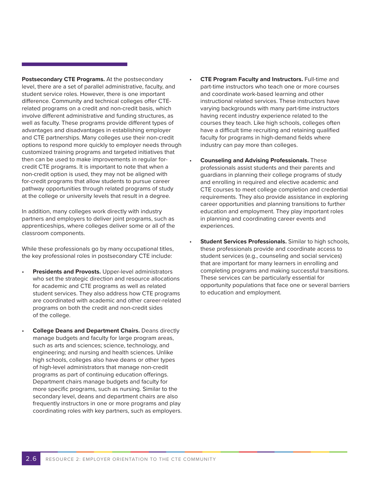**Postsecondary CTE Programs.** At the postsecondary level, there are a set of parallel administrative, faculty, and student service roles. However, there is one important difference. Community and technical colleges offer CTErelated programs on a credit and non-credit basis, which involve different administrative and funding structures, as well as faculty. These programs provide different types of advantages and disadvantages in establishing employer and CTE partnerships. Many colleges use their non-credit options to respond more quickly to employer needs through customized training programs and targeted initiatives that then can be used to make improvements in regular forcredit CTE programs. It is important to note that when a non-credit option is used, they may not be aligned with for-credit programs that allow students to pursue career pathway opportunities through related programs of study at the college or university levels that result in a degree.

In addition, many colleges work directly with industry partners and employers to deliver joint programs, such as apprenticeships, where colleges deliver some or all of the classroom components.

While these professionals go by many occupational titles, the key professional roles in postsecondary CTE include:

- **Presidents and Provosts.** Upper-level administrators who set the strategic direction and resource allocations for academic and CTE programs as well as related student services. They also address how CTE programs are coordinated with academic and other career-related programs on both the credit and non-credit sides of the college.
	- **College Deans and Department Chairs.** Deans directly manage budgets and faculty for large program areas, such as arts and sciences; science, technology, and engineering; and nursing and health sciences. Unlike high schools, colleges also have deans or other types of high-level administrators that manage non-credit programs as part of continuing education offerings. Department chairs manage budgets and faculty for more specific programs, such as nursing. Similar to the secondary level, deans and department chairs are also frequently instructors in one or more programs and play coordinating roles with key partners, such as employers.
- **CTE Program Faculty and Instructors.** Full-time and part-time instructors who teach one or more courses and coordinate work-based learning and other instructional related services. These instructors have varying backgrounds with many part-time instructors having recent industry experience related to the courses they teach. Like high schools, colleges often have a difficult time recruiting and retaining qualified faculty for programs in high-demand fields where industry can pay more than colleges.
- **Counseling and Advising Professionals.** These professionals assist students and their parents and guardians in planning their college programs of study and enrolling in required and elective academic and CTE courses to meet college completion and credential requirements. They also provide assistance in exploring career opportunities and planning transitions to further education and employment. They play important roles in planning and coordinating career events and experiences.
- **Student Services Professionals.** Similar to high schools, these professionals provide and coordinate access to student services (e.g., counseling and social services) that are important for many learners in enrolling and completing programs and making successful transitions. These services can be particularly essential for opportunity populations that face one or several barriers to education and employment.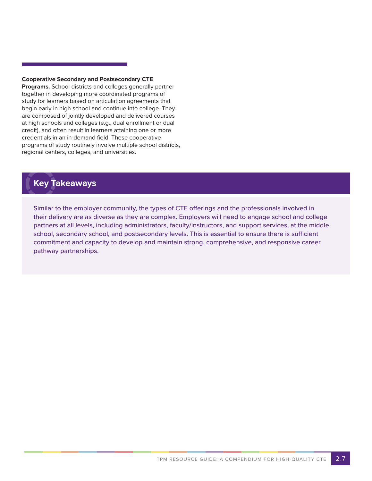#### **Cooperative Secondary and Postsecondary CTE**

**Programs.** School districts and colleges generally partner together in developing more coordinated programs of study for learners based on articulation agreements that begin early in high school and continue into college. They are composed of jointly developed and delivered courses at high schools and colleges (e.g., dual enrollment or dual credit), and often result in learners attaining one or more credentials in an in-demand field. These cooperative programs of study routinely involve multiple school districts, regional centers, colleges, and universities.

### **Key Takeaways**

Similar to the employer community, the types of CTE offerings and the professionals involved in their delivery are as diverse as they are complex. Employers will need to engage school and college partners at all levels, including administrators, faculty/instructors, and support services, at the middle school, secondary school, and postsecondary levels. This is essential to ensure there is sufficient commitment and capacity to develop and maintain strong, comprehensive, and responsive career pathway partnerships.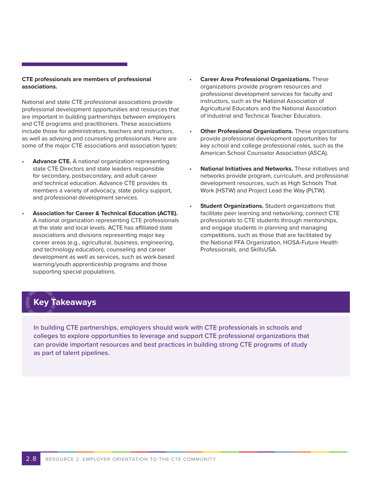#### **CTE professionals are members of professional associations.**

National and state CTE professional associations provide professional development opportunities and resources that are important in building partnerships between employers and CTE programs and practitioners. These associations include those for administrators, teachers and instructors, as well as advising and counseling professionals. Here are some of the major CTE associations and association types:

- **Advance CTE.** A national organization representing state CTE Directors and state leaders responsible for secondary, postsecondary, and adult career and technical education. Advance CTE provides its members a variety of advocacy, state policy support, and professional development services.
- **Association for Career & Technical Education (ACTE).** A national organization representing CTE professionals at the state and local levels. ACTE has affiliated state associations and divisions representing major key career areas (e.g., agricultural, business, engineering, and technology education), counseling and career development as well as services, such as work-based learning/youth apprenticeship programs and those supporting special populations.
- **Career Area Professional Organizations.** These organizations provide program resources and professional development services for faculty and instructors, such as the National Association of Agricultural Educators and the National Association of Industrial and Technical Teacher Educators.
- **Other Professional Organizations.** These organizations provide professional development opportunities for key school and college professional roles, such as the American School Counselor Association (ASCA).
- **National Initiatives and Networks.** These initiatives and networks provide program, curriculum, and professional development resources, such as High Schools That Work (HSTW) and Project Lead the Way (PLTW).
- **Student Organizations.** Student organizations that facilitate peer learning and networking, connect CTE professionals to CTE students through mentorships, and engage students in planning and managing competitions, such as those that are facilitated by the National FFA Organization, HOSA-Future Health Professionals, and SkillsUSA.

### **Key Takeaways**

In building CTE partnerships, employers should work with CTE professionals in schools and colleges to explore opportunities to leverage and support CTE professional organizations that can provide important resources and best practices in building strong CTE programs of study as part of talent pipelines.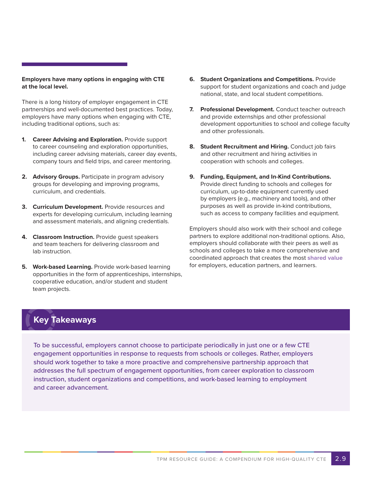#### **Employers have many options in engaging with CTE at the local level.**

There is a long history of employer engagement in CTE partnerships and well-documented best practices. Today, employers have many options when engaging with CTE, including traditional options, such as:

- **1. Career Advising and Exploration.** Provide support to career counseling and exploration opportunities, including career advising materials, career day events, company tours and field trips, and career mentoring.
- **2. Advisory Groups.** Participate in program advisory groups for developing and improving programs, curriculum, and credentials.
- **3. Curriculum Development.** Provide resources and experts for developing curriculum, including learning and assessment materials, and aligning credentials.
- **4. Classroom Instruction.** Provide guest speakers and team teachers for delivering classroom and lab instruction.
- **5. Work-based Learning.** Provide work-based learning opportunities in the form of apprenticeships, internships, cooperative education, and/or student and student team projects.
- **6. Student Organizations and Competitions.** Provide support for student organizations and coach and judge national, state, and local student competitions.
- **7. Professional Development.** Conduct teacher outreach and provide externships and other professional development opportunities to school and college faculty and other professionals.
- **8. Student Recruitment and Hiring.** Conduct job fairs and other recruitment and hiring activities in cooperation with schools and colleges.
- **9. Funding, Equipment, and In-Kind Contributions.** Provide direct funding to schools and colleges for curriculum, up-to-date equipment currently used by employers (e.g., machinery and tools), and other purposes as well as provide in-kind contributions, such as access to company facilities and equipment.

Employers should also work with their school and college partners to explore additional non-traditional options. Also, employers should collaborate with their peers as well as schools and colleges to take a more comprehensive and coordinated approach that creates the most **shared value** for employers, education partners, and learners.

## **Key Takeaways**

To be successful, employers cannot choose to participate periodically in just one or a few CTE engagement opportunities in response to requests from schools or colleges. Rather, employers should work together to take a more proactive and comprehensive partnership approach that addresses the full spectrum of engagement opportunities, from career exploration to classroom instruction, student organizations and competitions, and work-based learning to employment and career advancement.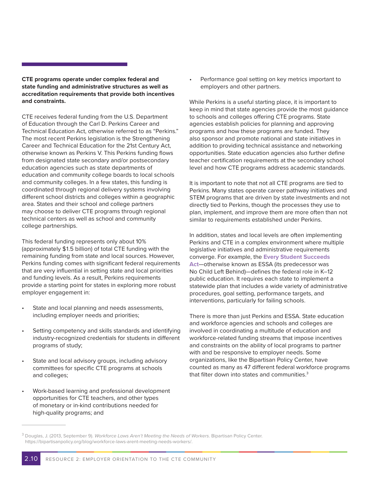**CTE programs operate under complex federal and state funding and administrative structures as well as accreditation requirements that provide both incentives and constraints.**

CTE receives federal funding from the U.S. Department of Education through the Carl D. Perkins Career and Technical Education Act, otherwise referred to as "Perkins." The most recent Perkins legislation is the Strengthening Career and Technical Education for the 21st Century Act, otherwise known as Perkins V. This Perkins funding flows from designated state secondary and/or postsecondary education agencies such as state departments of education and community college boards to local schools and community colleges. In a few states, this funding is coordinated through regional delivery systems involving different school districts and colleges within a geographic area. States and their school and college partners may choose to deliver CTE programs through regional technical centers as well as school and community college partnerships.

This federal funding represents only about 10% (approximately \$1.5 billion) of total CTE funding with the remaining funding from state and local sources. However, Perkins funding comes with significant federal requirements that are very influential in setting state and local priorities and funding levels. As a result, Perkins requirements provide a starting point for states in exploring more robust employer engagement in:

- State and local planning and needs assessments, including employer needs and priorities;
- Setting competency and skills standards and identifying industry-recognized credentials for students in different programs of study;
- State and local advisory groups, including advisory committees for specific CTE programs at schools and colleges;
- Work-based learning and professional development opportunities for CTE teachers, and other types of monetary or in-kind contributions needed for high-quality programs; and

Performance goal setting on key metrics important to employers and other partners.

While Perkins is a useful starting place, it is important to keep in mind that state agencies provide the most guidance to schools and colleges offering CTE programs. State agencies establish policies for planning and approving programs and how these programs are funded. They also sponsor and promote national and state initiatives in addition to providing technical assistance and networking opportunities. State education agencies also further define teacher certification requirements at the secondary school level and how CTE programs address academic standards.

It is important to note that not all CTE programs are tied to Perkins. Many states operate career pathway initiatives and STEM programs that are driven by state investments and not directly tied to Perkins, though the processes they use to plan, implement, and improve them are more often than not similar to requirements established under Perkins.

In addition, states and local levels are often implementing Perkins and CTE in a complex environment where multiple legislative initiatives and administrative requirements converge. For example, the **Every Student Succeeds Act**—otherwise known as ESSA (its predecessor was No Child Left Behind)—defines the federal role in K–12 public education. It requires each state to implement a statewide plan that includes a wide variety of administrative procedures, goal setting, performance targets, and interventions, particularly for failing schools.

There is more than just Perkins and ESSA. State education and workforce agencies and schools and colleges are involved in coordinating a multitude of education and workforce-related funding streams that impose incentives and constraints on the ability of local programs to partner with and be responsive to employer needs. Some organizations, like the Bipartisan Policy Center, have counted as many as 47 different federal workforce programs that filter down into states and communities.<sup>3</sup>

<sup>3</sup> Douglas, J. (2013, September 9). *Workforce Laws Aren't Meeting the Needs of Workers*. Bipartisan Policy Center. https://bipartisanpolicy.org/blog/workforce-laws-arent-meeting-needs-workers/.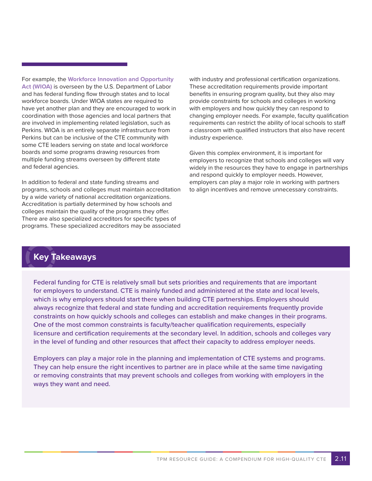For example, the **Workforce Innovation and Opportunity Act (WIOA)** is overseen by the U.S. Department of Labor and has federal funding flow through states and to local workforce boards. Under WIOA states are required to have yet another plan and they are encouraged to work in coordination with those agencies and local partners that are involved in implementing related legislation, such as Perkins. WIOA is an entirely separate infrastructure from Perkins but can be inclusive of the CTE community with some CTE leaders serving on state and local workforce boards and some programs drawing resources from multiple funding streams overseen by different state and federal agencies.

In addition to federal and state funding streams and programs, schools and colleges must maintain accreditation by a wide variety of national accreditation organizations. Accreditation is partially determined by how schools and colleges maintain the quality of the programs they offer. There are also specialized accreditors for specific types of programs. These specialized accreditors may be associated

with industry and professional certification organizations. These accreditation requirements provide important benefits in ensuring program quality, but they also may provide constraints for schools and colleges in working with employers and how quickly they can respond to changing employer needs. For example, faculty qualification requirements can restrict the ability of local schools to staff a classroom with qualified instructors that also have recent industry experience.

Given this complex environment, it is important for employers to recognize that schools and colleges will vary widely in the resources they have to engage in partnerships and respond quickly to employer needs. However, employers can play a major role in working with partners to align incentives and remove unnecessary constraints.

### **Key Takeaways**

Federal funding for CTE is relatively small but sets priorities and requirements that are important for employers to understand. CTE is mainly funded and administered at the state and local levels, which is why employers should start there when building CTE partnerships. Employers should always recognize that federal and state funding and accreditation requirements frequently provide constraints on how quickly schools and colleges can establish and make changes in their programs. One of the most common constraints is faculty/teacher qualification requirements, especially licensure and certification requirements at the secondary level. In addition, schools and colleges vary in the level of funding and other resources that affect their capacity to address employer needs.

Employers can play a major role in the planning and implementation of CTE systems and programs. They can help ensure the right incentives to partner are in place while at the same time navigating or removing constraints that may prevent schools and colleges from working with employers in the ways they want and need.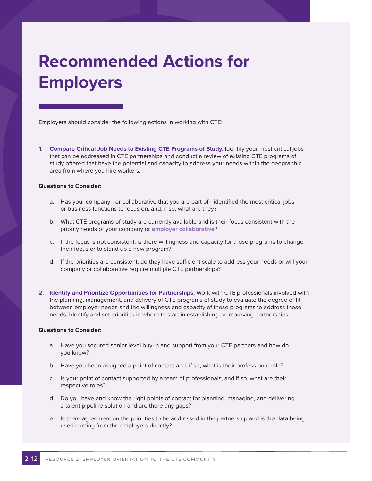## **Recommended Actions for Employers**

Employers should consider the following actions in working with CTE:

**1. Compare Critical Job Needs to Existing CTE Programs of Study.** Identify your most critical jobs that can be addressed in CTE partnerships and conduct a review of existing CTE programs of study offered that have the potential and capacity to address your needs within the geographic area from where you hire workers.

#### **Questions to Consider:**

- a. Has your company—or collaborative that you are part of—identified the most critical jobs or business functions to focus on, and, if so, what are they?
- b. What CTE programs of study are currently available and is their focus consistent with the priority needs of your company or **employer collaborative**?
- c. If the focus is not consistent, is there willingness and capacity for those programs to change their focus or to stand up a new program?
- d. If the priorities are consistent, do they have sufficient scale to address your needs or will your company or collaborative require multiple CTE partnerships?
- **2. Identify and Prioritize Opportunities for Partnerships.** Work with CTE professionals involved with the planning, management, and delivery of CTE programs of study to evaluate the degree of fit between employer needs and the willingness and capacity of these programs to address these needs. Identify and set priorities in where to start in establishing or improving partnerships.

#### **Questions to Consider:**

- a. Have you secured senior level buy-in and support from your CTE partners and how do you know?
- b. Have you been assigned a point of contact and, if so, what is their professional role?
- c. Is your point of contact supported by a team of professionals, and if so, what are their respective roles?
- d. Do you have and know the right points of contact for planning, managing, and delivering a talent pipeline solution and are there any gaps?
- e. Is there agreement on the priorities to be addressed in the partnership and is the data being used coming from the employers directly?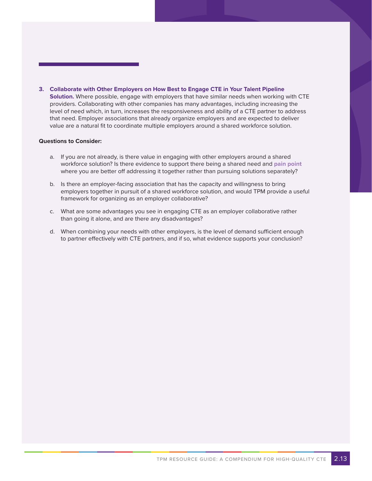**3. Collaborate with Other Employers on How Best to Engage CTE in Your Talent Pipeline Solution.** Where possible, engage with employers that have similar needs when working with CTE providers. Collaborating with other companies has many advantages, including increasing the level of need which, in turn, increases the responsiveness and ability of a CTE partner to address that need. Employer associations that already organize employers and are expected to deliver value are a natural fit to coordinate multiple employers around a shared workforce solution.

#### **Questions to Consider:**

- a. If you are not already, is there value in engaging with other employers around a shared workforce solution? Is there evidence to support there being a shared need and **pain point** where you are better off addressing it together rather than pursuing solutions separately?
- b. Is there an employer-facing association that has the capacity and willingness to bring employers together in pursuit of a shared workforce solution, and would TPM provide a useful framework for organizing as an employer collaborative?
- c. What are some advantages you see in engaging CTE as an employer collaborative rather than going it alone, and are there any disadvantages?
- d. When combining your needs with other employers, is the level of demand sufficient enough to partner effectively with CTE partners, and if so, what evidence supports your conclusion?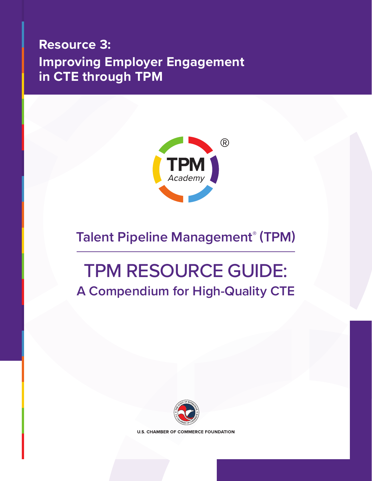## <span id="page-34-0"></span>**Resource 3: Improving Employer Engagement in CTE through TPM**



## **Talent Pipeline Management® (TPM)**

# TPM RESOURCE GUIDE: **A Compendium for High-Quality CTE**



**U.S. CHAMBER OF COMMERCE FOUNDATION**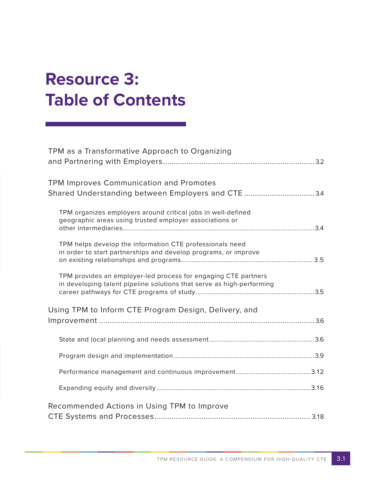# **Resource 3: Table of Contents**

| TPM as a Transformative Approach to Organizing                                                                                          |  |
|-----------------------------------------------------------------------------------------------------------------------------------------|--|
|                                                                                                                                         |  |
| <b>TPM Improves Communication and Promotes</b><br>Shared Understanding between Employers and CTE  3.4                                   |  |
| TPM organizes employers around critical jobs in well-defined<br>geographic areas using trusted employer associations or                 |  |
|                                                                                                                                         |  |
| TPM helps develop the information CTE professionals need<br>in order to start partnerships and develop programs, or improve             |  |
| TPM provides an employer-led process for engaging CTE partners<br>in developing talent pipeline solutions that serve as high-performing |  |
| Using TPM to Inform CTE Program Design, Delivery, and                                                                                   |  |
|                                                                                                                                         |  |
|                                                                                                                                         |  |
|                                                                                                                                         |  |
|                                                                                                                                         |  |
| Recommended Actions in Using TPM to Improve                                                                                             |  |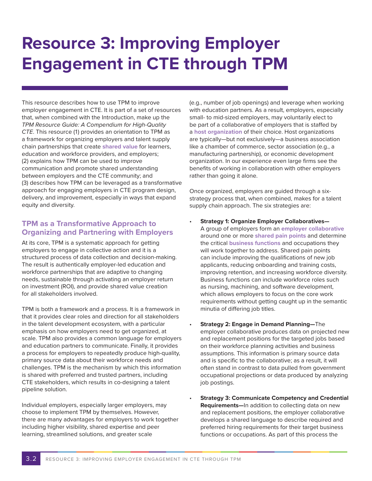# **Resource 3: Improving Employer Engagement in CTE through TPM**

This resource describes how to use TPM to improve employer engagement in CTE. It is part of a set of resources that, when combined with the Introduction, make up the *TPM Resource Guide: A Compendium for High-Quality CTE*. This resource (1) provides an orientation to TPM as a framework for organizing employers and talent supply chain partnerships that create **shared value** for learners, education and workforce providers, and employers; (2) explains how TPM can be used to improve communication and promote shared understanding between employers and the CTE community; and (3) describes how TPM can be leveraged as a transformative approach for engaging employers in CTE program design, delivery, and improvement, especially in ways that expand equity and diversity.

#### **TPM as a Transformative Approach to Organizing and Partnering with Employers**

At its core, TPM is a systematic approach for getting employers to engage in collective action and it is a structured process of data collection and decision-making. The result is authentically employer-led education and workforce partnerships that are adaptive to changing needs, sustainable through activating an employer return on investment (ROI), and provide shared value creation for all stakeholders involved.

TPM is both a framework and a process. It is a framework in that it provides clear roles and direction for all stakeholders in the talent development ecosystem, with a particular emphasis on how employers need to get organized, at scale. TPM also provides a common language for employers and education partners to communicate. Finally, it provides a process for employers to repeatedly produce high-quality, primary source data about their workforce needs and challenges. TPM is the mechanism by which this information is shared with preferred and trusted partners, including CTE stakeholders, which results in co-designing a talent pipeline solution.

Individual employers, especially larger employers, may choose to implement TPM by themselves. However, there are many advantages for employers to work together including higher visibility, shared expertise and peer learning, streamlined solutions, and greater scale

(e.g., number of job openings) and leverage when working with education partners. As a result, employers, especially small- to mid-sized employers, may voluntarily elect to be part of a collaborative of employers that is staffed by a **host organization** of their choice. Host organizations are typically—but not exclusively—a business association like a chamber of commerce, sector association (e.g., a manufacturing partnership), or economic development organization. In our experience even large firms see the benefits of working in collaboration with other employers rather than going it alone.

Once organized, employers are guided through a sixstrategy process that, when combined, makes for a talent supply chain approach. The six strategies are:

- **Strategy 1: Organize Employer Collaboratives—** A group of employers form an **employer collaborative** around one or more **shared pain points** and determine the critical **business functions** and occupations they will work together to address. Shared pain points can include improving the qualifications of new job applicants, reducing onboarding and training costs, improving retention, and increasing workforce diversity. Business functions can include workforce roles such as nursing, machining, and software development, which allows employers to focus on the core work requirements without getting caught up in the semantic minutia of differing job titles.
- **Strategy 2: Engage in Demand Planning—**The employer collaborative produces data on projected new and replacement positions for the targeted jobs based on their workforce planning activities and business assumptions. This information is primary source data and is specific to the collaborative; as a result, it will often stand in contrast to data pulled from government occupational projections or data produced by analyzing job postings.
- **Strategy 3: Communicate Competency and Credential Requirements—**In addition to collecting data on new and replacement positions, the employer collaborative develops a shared language to describe required and preferred hiring requirements for their target business functions or occupations. As part of this process the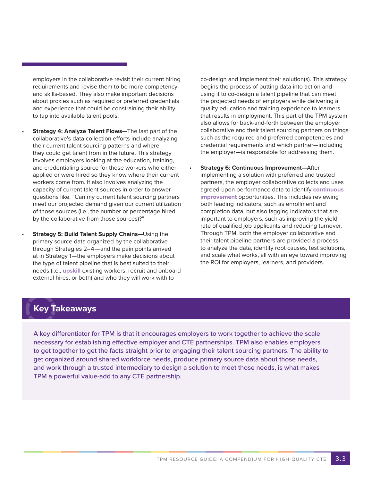employers in the collaborative revisit their current hiring requirements and revise them to be more competencyand skills-based. They also make important decisions about proxies such as required or preferred credentials and experience that could be constraining their ability to tap into available talent pools.

- **Strategy 4: Analyze Talent Flows**—The last part of the collaborative's data collection efforts include analyzing their current talent sourcing patterns and where they could get talent from in the future. This strategy involves employers looking at the education, training, and credentialing source for those workers who either applied or were hired so they know where their current workers come from. It also involves analyzing the capacity of current talent sources in order to answer questions like, "Can my current talent sourcing partners meet our projected demand given our current utilization of those sources (i.e., the number or percentage hired by the collaborative from those sources)?"
- **Strategy 5: Build Talent Supply Chains-Using the** primary source data organized by the collaborative through Strategies 2–4—and the pain points arrived at in Strategy 1—the employers make decisions about the type of talent pipeline that is best suited to their needs (i.e., **upskill** existing workers, recruit and onboard external hires, or both) and who they will work with to

co-design and implement their solution(s). This strategy begins the process of putting data into action and using it to co-design a talent pipeline that can meet the projected needs of employers while delivering a quality education and training experience to learners that results in employment. This part of the TPM system also allows for back-and-forth between the employer collaborative and their talent sourcing partners on things such as the required and preferred competencies and credential requirements and which partner—including the employer—is responsible for addressing them.

• **Strategy 6: Continuous Improvement—**After implementing a solution with preferred and trusted partners, the employer collaborative collects and uses agreed-upon performance data to identify **continuous improvement** opportunities. This includes reviewing both leading indicators, such as enrollment and completion data, but also lagging indicators that are important to employers, such as improving the yield rate of qualified job applicants and reducing turnover. Through TPM, both the employer collaborative and their talent pipeline partners are provided a process to analyze the data, identify root causes, test solutions, and scale what works, all with an eye toward improving the ROI for employers, learners, and providers.

### **Key Takeaways**

A key differentiator for TPM is that it encourages employers to work together to achieve the scale necessary for establishing effective employer and CTE partnerships. TPM also enables employers to get together to get the facts straight prior to engaging their talent sourcing partners. The ability to get organized around shared workforce needs, produce primary source data about those needs, and work through a trusted intermediary to design a solution to meet those needs, is what makes TPM a powerful value-add to any CTE partnership.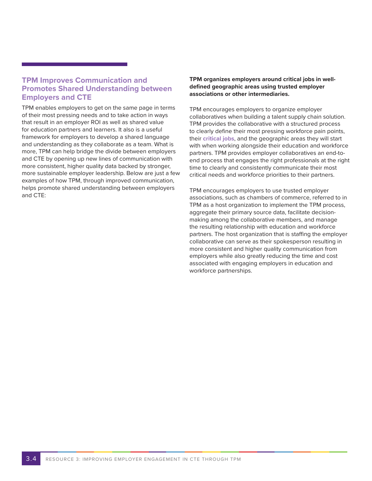#### **TPM Improves Communication and Promotes Shared Understanding between Employers and CTE**

TPM enables employers to get on the same page in terms of their most pressing needs and to take action in ways that result in an employer ROI as well as shared value for education partners and learners. It also is a useful framework for employers to develop a shared language and understanding as they collaborate as a team. What is more, TPM can help bridge the divide between employers and CTE by opening up new lines of communication with more consistent, higher quality data backed by stronger, more sustainable employer leadership. Below are just a few examples of how TPM, through improved communication, helps promote shared understanding between employers and CTE:

#### **TPM organizes employers around critical jobs in welldefined geographic areas using trusted employer associations or other intermediaries.**

TPM encourages employers to organize employer collaboratives when building a talent supply chain solution. TPM provides the collaborative with a structured process to clearly define their most pressing workforce pain points, their **critical jobs**, and the geographic areas they will start with when working alongside their education and workforce partners. TPM provides employer collaboratives an end-toend process that engages the right professionals at the right time to clearly and consistently communicate their most critical needs and workforce priorities to their partners.

TPM encourages employers to use trusted employer associations, such as chambers of commerce, referred to in TPM as a host organization to implement the TPM process, aggregate their primary source data, facilitate decisionmaking among the collaborative members, and manage the resulting relationship with education and workforce partners. The host organization that is staffing the employer collaborative can serve as their spokesperson resulting in more consistent and higher quality communication from employers while also greatly reducing the time and cost associated with engaging employers in education and workforce partnerships.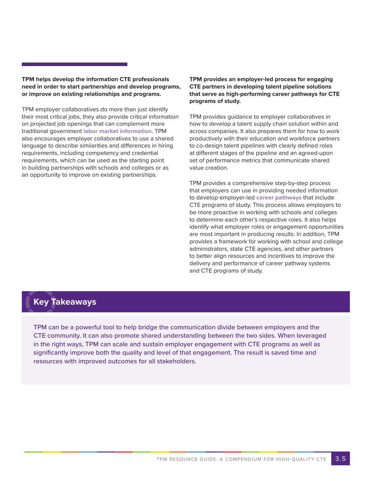**TPM helps develop the information CTE professionals need in order to start partnerships and develop programs, or improve on existing relationships and programs.**

TPM employer collaboratives do more than just identify their most critical jobs, they also provide critical information on projected job openings that can complement more traditional government **labor market information**. TPM also encourages employer collaboratives to use a shared language to describe similarities and differences in hiring requirements, including competency and credential requirements, which can be used as the starting point in building partnerships with schools and colleges or as an opportunity to improve on existing partnerships.

**TPM provides an employer-led process for engaging CTE partners in developing talent pipeline solutions that serve as high-performing career pathways for CTE programs of study.** 

TPM provides guidance to employer collaboratives in how to develop a talent supply chain solution within and across companies. It also prepares them for how to work productively with their education and workforce partners to co-design talent pipelines with clearly defined roles at different stages of the pipeline and an agreed-upon set of performance metrics that communicate shared value creation.

TPM provides a comprehensive step-by-step process that employers can use in providing needed information to develop employer-led **career pathways** that include CTE programs of study. This process allows employers to be more proactive in working with schools and colleges to determine each other's respective roles. It also helps identify what employer roles or engagement opportunities are most important in producing results. In addition, TPM provides a framework for working with school and college administrators, state CTE agencies, and other partners to better align resources and incentives to improve the delivery and performance of career pathway systems and CTE programs of study.

### **Key Takeaways**

TPM can be a powerful tool to help bridge the communication divide between employers and the CTE community. It can also promote shared understanding between the two sides. When leveraged in the right ways, TPM can scale and sustain employer engagement with CTE programs as well as significantly improve both the quality and level of that engagement. The result is saved time and resources with improved outcomes for all stakeholders.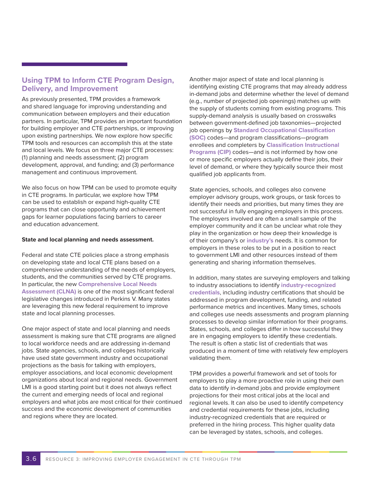#### **Using TPM to Inform CTE Program Design, Delivery, and Improvement**

As previously presented, TPM provides a framework and shared language for improving understanding and communication between employers and their education partners. In particular, TPM provides an important foundation for building employer and CTE partnerships, or improving upon existing partnerships. We now explore how specific TPM tools and resources can accomplish this at the state and local levels. We focus on three major CTE processes: (1) planning and needs assessment; (2) program development, approval, and funding; and (3) performance management and continuous improvement.

We also focus on how TPM can be used to promote equity in CTE programs. In particular, we explore how TPM can be used to establish or expand high-quality CTE programs that can close opportunity and achievement gaps for learner populations facing barriers to career and education advancement.

#### **State and local planning and needs assessment.**

Federal and state CTE policies place a strong emphasis on developing state and local CTE plans based on a comprehensive understanding of the needs of employers, students, and the communities served by CTE programs. In particular, the new **Comprehensive Local Needs Assessment (CLNA)** is one of the most significant federal legislative changes introduced in Perkins V. Many states are leveraging this new federal requirement to improve state and local planning processes.

One major aspect of state and local planning and needs assessment is making sure that CTE programs are aligned to local workforce needs and are addressing in-demand jobs. State agencies, schools, and colleges historically have used state government industry and occupational projections as the basis for talking with employers, employer associations, and local economic development organizations about local and regional needs. Government LMI is a good starting point but it does not always reflect the current and emerging needs of local and regional employers and what jobs are most critical for their continued success and the economic development of communities and regions where they are located.

Another major aspect of state and local planning is identifying existing CTE programs that may already address in-demand jobs and determine whether the level of demand (e.g., number of projected job openings) matches up with the supply of students coming from existing programs. This supply-demand analysis is usually based on crosswalks between government-defined job taxonomies—projected job openings by **Standard Occupational Classification (SOC)** codes—and program classifications—program enrollees and completers by **Classification Instructional Programs (CIP)** codes—and is not informed by how one or more specific employers actually define their jobs, their level of demand, or where they typically source their most qualified job applicants from.

State agencies, schools, and colleges also convene employer advisory groups, work groups, or task forces to identify their needs and priorities, but many times they are not successful in fully engaging employers in this process. The employers involved are often a small sample of the employer community and it can be unclear what role they play in the organization or how deep their knowledge is of their company's or **industry's** needs. It is common for employers in these roles to be put in a position to react to government LMI and other resources instead of them generating and sharing information themselves.

In addition, many states are surveying employers and talking to industry associations to identify **industry-recognized credentials**, including industry certifications that should be addressed in program development, funding, and related performance metrics and incentives. Many times, schools and colleges use needs assessments and program planning processes to develop similar information for their programs. States, schools, and colleges differ in how successful they are in engaging employers to identify these credentials. The result is often a static list of credentials that was produced in a moment of time with relatively few employers validating them.

TPM provides a powerful framework and set of tools for employers to play a more proactive role in using their own data to identify in-demand jobs and provide employment projections for their most critical jobs at the local and regional levels. It can also be used to identify competency and credential requirements for these jobs, including industry-recognized credentials that are required or preferred in the hiring process. This higher quality data can be leveraged by states, schools, and colleges.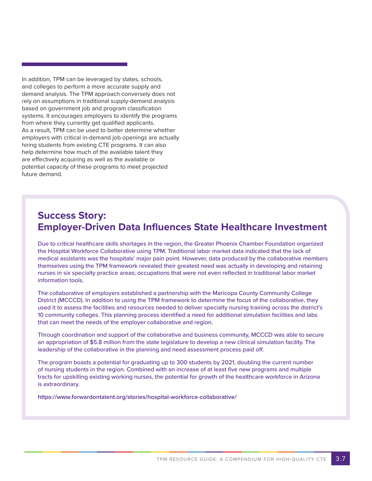In addition, TPM can be leveraged by states, schools, and colleges to perform a more accurate supply and demand analysis. The TPM approach conversely does not rely on assumptions in traditional supply-demand analysis based on government job and program classification systems. It encourages employers to identify the programs from where they currently get qualified applicants. As a result, TPM can be used to better determine whether employers with critical in-demand job openings are actually hiring students from existing CTE programs. It can also help determine how much of the available talent they are effectively acquiring as well as the available or potential capacity of these programs to meet projected future demand.

## **Success Story: Employer-Driven Data Influences State Healthcare Investment**

Due to critical healthcare skills shortages in the region, the Greater Phoenix Chamber Foundation organized the Hospital Workforce Collaborative using TPM. Traditional labor market data indicated that the lack of medical assistants was the hospitals' major pain point. However, data produced by the collaborative members themselves using the TPM framework revealed their greatest need was actually in developing and retaining nurses in six specialty practice areas; occupations that were not even reflected in traditional labor market information tools.

The collaborative of employers established a partnership with the Maricopa County Community College District (MCCCD). In addition to using the TPM framework to determine the focus of the collaborative, they used it to assess the facilities and resources needed to deliver specialty nursing training across the district's 10 community colleges. This planning process identified a need for additional simulation facilities and labs that can meet the needs of the employer collaborative and region.

Through coordination and support of the collaborative and business community, MCCCD was able to secure an appropriation of \$5.8 million from the state legislature to develop a new clinical simulation facility. The leadership of the collaborative in the planning and need assessment process paid off.

The program boasts a potential for graduating up to 300 students by 2021, doubling the current number of nursing students in the region. Combined with an increase of at least five new programs and multiple tracts for upskilling existing working nurses, the potential for growth of the healthcare workforce in Arizona is extraordinary.

**https://www.forwardontalent.org/stories/hospital-workforce-collaborative/**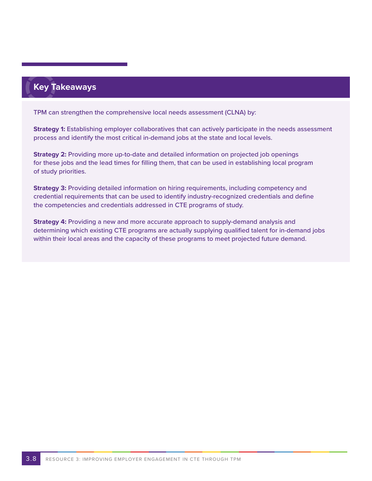## **Key Takeaways**

TPM can strengthen the comprehensive local needs assessment (CLNA) by:

**Strategy 1:** Establishing employer collaboratives that can actively participate in the needs assessment process and identify the most critical in-demand jobs at the state and local levels.

**Strategy 2:** Providing more up-to-date and detailed information on projected job openings for these jobs and the lead times for filling them, that can be used in establishing local program of study priorities.

**Strategy 3:** Providing detailed information on hiring requirements, including competency and credential requirements that can be used to identify industry-recognized credentials and define the competencies and credentials addressed in CTE programs of study.

**Strategy 4:** Providing a new and more accurate approach to supply-demand analysis and determining which existing CTE programs are actually supplying qualified talent for in-demand jobs within their local areas and the capacity of these programs to meet projected future demand.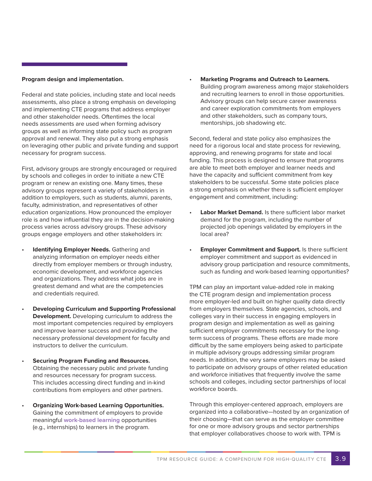#### **Program design and implementation.**

Federal and state policies, including state and local needs assessments, also place a strong emphasis on developing and implementing CTE programs that address employer and other stakeholder needs. Oftentimes the local needs assessments are used when forming advisory groups as well as informing state policy such as program approval and renewal. They also put a strong emphasis on leveraging other public and private funding and support necessary for program success.

First, advisory groups are strongly encouraged or required by schools and colleges in order to initiate a new CTE program or renew an existing one. Many times, these advisory groups represent a variety of stakeholders in addition to employers, such as students, alumni, parents, faculty, administration, and representatives of other education organizations. How pronounced the employer role is and how influential they are in the decision-making process varies across advisory groups. These advisory groups engage employers and other stakeholders in:

- **Identifying Employer Needs.** Gathering and analyzing information on employer needs either directly from employer members or through industry, economic development, and workforce agencies and organizations. They address what jobs are in greatest demand and what are the competencies and credentials required.
- **Developing Curriculum and Supporting Professional Development.** Developing curriculum to address the most important competencies required by employers and improve learner success and providing the necessary professional development for faculty and instructors to deliver the curriculum.
- **Securing Program Funding and Resources.** Obtaining the necessary public and private funding and resources necessary for program success. This includes accessing direct funding and in-kind contributions from employers and other partners.
- **Organizing Work-based Learning Opportunities.** Gaining the commitment of employers to provide meaningful **work-based learning** opportunities (e.g., internships) to learners in the program.

• **Marketing Programs and Outreach to Learners.** Building program awareness among major stakeholders and recruiting learners to enroll in those opportunities. Advisory groups can help secure career awareness and career exploration commitments from employers and other stakeholders, such as company tours, mentorships, job shadowing etc.

Second, federal and state policy also emphasizes the need for a rigorous local and state process for reviewing, approving, and renewing programs for state and local funding. This process is designed to ensure that programs are able to meet both employer and learner needs and have the capacity and sufficient commitment from key stakeholders to be successful. Some state policies place a strong emphasis on whether there is sufficient employer engagement and commitment, including:

- **Labor Market Demand.** Is there sufficient labor market demand for the program, including the number of projected job openings validated by employers in the local area?
- **Employer Commitment and Support.** Is there sufficient employer commitment and support as evidenced in advisory group participation and resource commitments, such as funding and work-based learning opportunities?

TPM can play an important value-added role in making the CTE program design and implementation process more employer-led and built on higher quality data directly from employers themselves. State agencies, schools, and colleges vary in their success in engaging employers in program design and implementation as well as gaining sufficient employer commitments necessary for the longterm success of programs. These efforts are made more difficult by the same employers being asked to participate in multiple advisory groups addressing similar program needs. In addition, the very same employers may be asked to participate on advisory groups of other related education and workforce initiatives that frequently involve the same schools and colleges, including sector partnerships of local workforce boards.

Through this employer-centered approach, employers are organized into a collaborative—hosted by an organization of their choosing—that can serve as the employer committee for one or more advisory groups and sector partnerships that employer collaboratives choose to work with. TPM is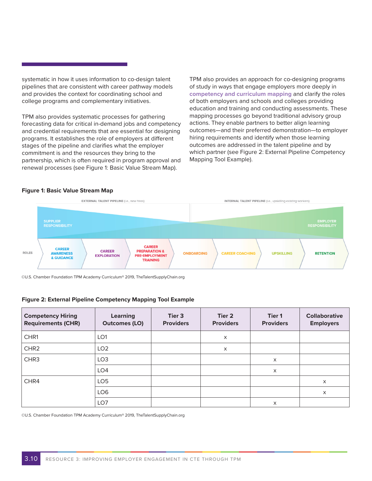systematic in how it uses information to co-design talent pipelines that are consistent with career pathway models and provides the context for coordinating school and college programs and complementary initiatives.

TPM also provides systematic processes for gathering forecasting data for critical in-demand jobs and competency and credential requirements that are essential for designing programs. It establishes the role of employers at different stages of the pipeline and clarifies what the employer commitment is and the resources they bring to the partnership, which is often required in program approval and renewal processes (see Figure 1: Basic Value Stream Map).

TPM also provides an approach for co-designing programs of study in ways that engage employers more deeply in **competency and curriculum mapping** and clarify the roles of both employers and schools and colleges providing education and training and conducting assessments. These mapping processes go beyond traditional advisory group actions. They enable partners to better align learning outcomes—and their preferred demonstration—to employer hiring requirements and identify when those learning outcomes are addressed in the talent pipeline and by which partner (see Figure 2: External Pipeline Competency Mapping Tool Example).

#### **Figure 1: Basic Value Stream Map**



©U.S. Chamber Foundation TPM Academy Curriculum® 2019, TheTalentSupplyChain.org

#### **Figure 2: External Pipeline Competency Mapping Tool Example**

| <b>Competency Hiring</b><br><b>Requirements (CHR)</b> | <b>Learning</b><br><b>Outcomes (LO)</b> | Tier 3<br><b>Providers</b> | Tier 2<br><b>Providers</b> | Tier 1<br><b>Providers</b> | <b>Collaborative</b><br><b>Employers</b> |
|-------------------------------------------------------|-----------------------------------------|----------------------------|----------------------------|----------------------------|------------------------------------------|
| CHR1                                                  | LO <sub>1</sub>                         |                            | X                          |                            |                                          |
| CHR <sub>2</sub>                                      | LO <sub>2</sub>                         |                            | X                          |                            |                                          |
| CHR <sub>3</sub>                                      | LO <sub>3</sub>                         |                            |                            | $\times$                   |                                          |
|                                                       | LO <sub>4</sub>                         |                            |                            | X                          |                                          |
| CHR4                                                  | LO <sub>5</sub>                         |                            |                            |                            | X                                        |
|                                                       | LO <sub>6</sub>                         |                            |                            |                            | $\times$                                 |
|                                                       | LO7                                     |                            |                            | $\times$                   |                                          |

©U.S. Chamber Foundation TPM Academy Curriculum® 2019, TheTalentSupplyChain.org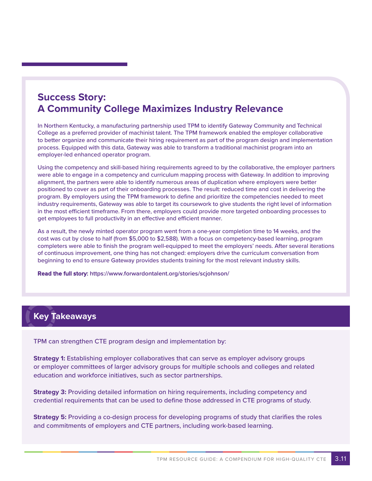## **Success Story: A Community College Maximizes Industry Relevance**

In Northern Kentucky, a manufacturing partnership used TPM to identify Gateway Community and Technical College as a preferred provider of machinist talent. The TPM framework enabled the employer collaborative to better organize and communicate their hiring requirement as part of the program design and implementation process. Equipped with this data, Gateway was able to transform a traditional machinist program into an employer-led enhanced operator program.

Using the competency and skill-based hiring requirements agreed to by the collaborative, the employer partners were able to engage in a competency and curriculum mapping process with Gateway. In addition to improving alignment, the partners were able to identify numerous areas of duplication where employers were better positioned to cover as part of their onboarding processes. The result: reduced time and cost in delivering the program. By employers using the TPM framework to define and prioritize the competencies needed to meet industry requirements, Gateway was able to target its coursework to give students the right level of information in the most efficient timeframe. From there, employers could provide more targeted onboarding processes to get employees to full productivity in an effective and efficient manner.

As a result, the newly minted operator program went from a one-year completion time to 14 weeks, and the cost was cut by close to half (from \$5,000 to \$2,588). With a focus on competency-based learning, program completers were able to finish the program well-equipped to meet the employers' needs. After several iterations of continuous improvement, one thing has not changed: employers drive the curriculum conversation from beginning to end to ensure Gateway provides students training for the most relevant industry skills.

**Read the full story: <https://www.forwardontalent.org/stories/scjohnson/>**

## **Key Takeaways**

TPM can strengthen CTE program design and implementation by:

**Strategy 1:** Establishing employer collaboratives that can serve as employer advisory groups or employer committees of larger advisory groups for multiple schools and colleges and related education and workforce initiatives, such as sector partnerships.

**Strategy 3:** Providing detailed information on hiring requirements, including competency and credential requirements that can be used to define those addressed in CTE programs of study.

**Strategy 5:** Providing a co-design process for developing programs of study that clarifies the roles and commitments of employers and CTE partners, including work-based learning.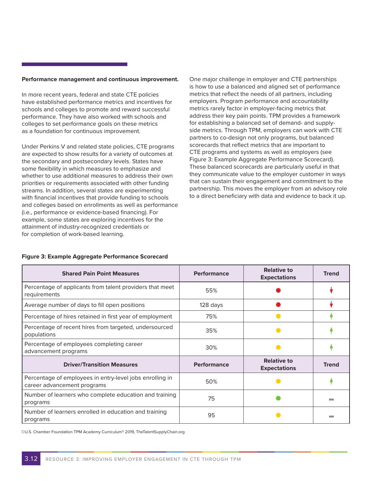#### **Performance management and continuous improvement.**

In more recent years, federal and state CTE policies have established performance metrics and incentives for schools and colleges to promote and reward successful performance. They have also worked with schools and colleges to set performance goals on these metrics as a foundation for continuous improvement.

Under Perkins V and related state policies, CTE programs are expected to show results for a variety of outcomes at the secondary and postsecondary levels. States have some flexibility in which measures to emphasize and whether to use additional measures to address their own priorities or requirements associated with other funding streams. In addition, several states are experimenting with financial incentives that provide funding to schools and colleges based on enrollments as well as performance (i.e., performance or evidence-based financing). For example, some states are exploring incentives for the attainment of industry-recognized credentials or for completion of work-based learning.

One major challenge in employer and CTE partnerships is how to use a balanced and aligned set of performance metrics that reflect the needs of all partners, including employers. Program performance and accountability metrics rarely factor in employer-facing metrics that address their key pain points. TPM provides a framework for establishing a balanced set of demand- and supplyside metrics. Through TPM, employers can work with CTE partners to co-design not only programs, but balanced scorecards that reflect metrics that are important to CTE programs and systems as well as employers (see Figure 3: Example Aggregate Performance Scorecard). These balanced scorecards are particularly useful in that they communicate value to the employer customer in ways that can sustain their engagement and commitment to the partnership. This moves the employer from an advisory role to a direct beneficiary with data and evidence to back it up.

| <b>Shared Pain Point Measures</b>                                                       | <b>Performance</b> | <b>Relative to</b><br><b>Expectations</b> | <b>Trend</b>   |
|-----------------------------------------------------------------------------------------|--------------------|-------------------------------------------|----------------|
| Percentage of applicants from talent providers that meet<br>requirements                | 55%                |                                           |                |
| Average number of days to fill open positions                                           | 128 days           |                                           |                |
| Percentage of hires retained in first year of employment                                | 75%                |                                           |                |
| Percentage of recent hires from targeted, undersourced<br>populations                   | 35%                |                                           |                |
| Percentage of employees completing career<br>advancement programs                       | 30%                |                                           |                |
| <b>Driver/Transition Measures</b>                                                       | <b>Performance</b> | <b>Relative to</b><br><b>Expectations</b> | <b>Trend</b>   |
| Percentage of employees in entry-level jobs enrolling in<br>career advancement programs | 50%                |                                           |                |
| Number of learners who complete education and training<br>programs                      | 75                 |                                           | <b>College</b> |
| Number of learners enrolled in education and training<br>programs                       | 95                 |                                           |                |

#### **Figure 3: Example Aggregate Performance Scorecard**

©U.S. Chamber Foundation TPM Academy Curriculum® 2019, TheTalentSupplyChain.org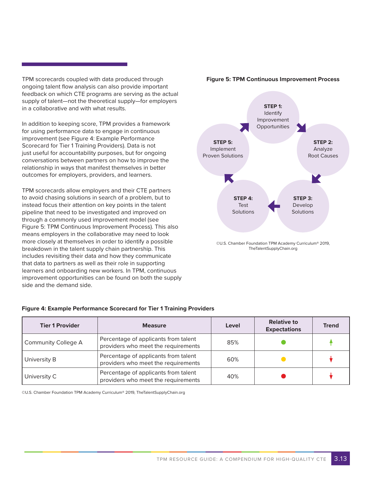TPM scorecards coupled with data produced through ongoing talent flow analysis can also provide important feedback on which CTE programs are serving as the actual supply of talent—not the theoretical supply—for employers in a collaborative and with what results.

In addition to keeping score, TPM provides a framework for using performance data to engage in continuous improvement (see Figure 4: Example Performance Scorecard for Tier 1 Training Providers). Data is not just useful for accountability purposes, but for ongoing conversations between partners on how to improve the relationship in ways that manifest themselves in better outcomes for employers, providers, and learners.

TPM scorecards allow employers and their CTE partners to avoid chasing solutions in search of a problem, but to instead focus their attention on key points in the talent pipeline that need to be investigated and improved on through a commonly used improvement model (see Figure 5: TPM Continuous Improvement Process). This also means employers in the collaborative may need to look more closely at themselves in order to identify a possible breakdown in the talent supply chain partnership. This includes revisiting their data and how they communicate that data to partners as well as their role in supporting learners and onboarding new workers. In TPM, continuous improvement opportunities can be found on both the supply side and the demand side.

### **Figure 4: Example Performance Scorecard for Tier 1 Training Providers**

| <b>Tier 1 Provider</b>     | <b>Measure</b>                                                              | Level | <b>Relative to</b><br><b>Expectations</b> | <b>Trend</b> |
|----------------------------|-----------------------------------------------------------------------------|-------|-------------------------------------------|--------------|
| <b>Community College A</b> | Percentage of applicants from talent<br>providers who meet the requirements | 85%   |                                           |              |
| University B               | Percentage of applicants from talent<br>providers who meet the requirements | 60%   |                                           |              |
| University C               | Percentage of applicants from talent<br>providers who meet the requirements | 40%   |                                           |              |

©U.S. Chamber Foundation TPM Academy Curriculum® 2019, TheTalentSupplyChain.org



#### **Figure 5: TPM Continuous Improvement Process**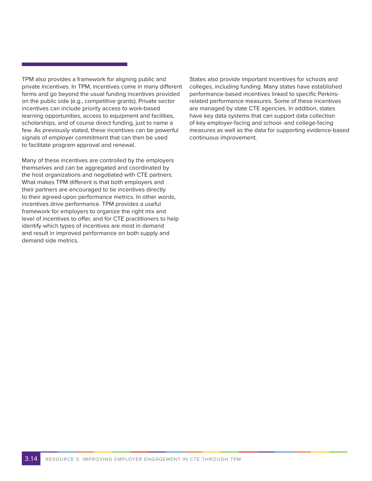TPM also provides a framework for aligning public and private incentives. In TPM, incentives come in many different forms and go beyond the usual funding incentives provided on the public side (e.g., competitive grants). Private sector incentives can include priority access to work-based learning opportunities, access to equipment and facilities, scholarships, and of course direct funding, just to name a few. As previously stated, these incentives can be powerful signals of employer commitment that can then be used to facilitate program approval and renewal.

Many of these incentives are controlled by the employers themselves and can be aggregated and coordinated by the host organizations and negotiated with CTE partners. What makes TPM different is that both employers and their partners are encouraged to tie incentives directly to their agreed-upon performance metrics. In other words, incentives drive performance. TPM provides a useful framework for employers to organize the right mix and level of incentives to offer, and for CTE practitioners to help identify which types of incentives are most in demand and result in improved performance on both supply and demand side metrics.

States also provide important incentives for schools and colleges, including funding. Many states have established performance-based incentives linked to specific Perkinsrelated performance measures. Some of these incentives are managed by state CTE agencies. In addition, states have key data systems that can support data collection of key employer-facing and school- and college-facing measures as well as the data for supporting evidence-based continuous improvement.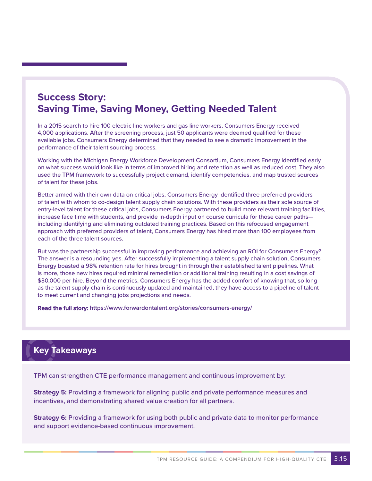## **Success Story: Saving Time, Saving Money, Getting Needed Talent**

In a 2015 search to hire 100 electric line workers and gas line workers, Consumers Energy received 4,000 applications. After the screening process, just 50 applicants were deemed qualified for these available jobs. Consumers Energy determined that they needed to see a dramatic improvement in the performance of their talent sourcing process.

Working with the Michigan Energy Workforce Development Consortium, Consumers Energy identified early on what success would look like in terms of improved hiring and retention as well as reduced cost. They also used the TPM framework to successfully project demand, identify competencies, and map trusted sources of talent for these jobs.

Better armed with their own data on critical jobs, Consumers Energy identified three preferred providers of talent with whom to co-design talent supply chain solutions. With these providers as their sole source of entry-level talent for these critical jobs, Consumers Energy partnered to build more relevant training facilities, increase face time with students, and provide in-depth input on course curricula for those career paths including identifying and eliminating outdated training practices. Based on this refocused engagement approach with preferred providers of talent, Consumers Energy has hired more than 100 employees from each of the three talent sources.

But was the partnership successful in improving performance and achieving an ROI for Consumers Energy? The answer is a resounding yes. After successfully implementing a talent supply chain solution, Consumers Energy boasted a 98% retention rate for hires brought in through their established talent pipelines. What is more, those new hires required minimal remediation or additional training resulting in a cost savings of \$30,000 per hire. Beyond the metrics, Consumers Energy has the added comfort of knowing that, so long as the talent supply chain is continuously updated and maintained, they have access to a pipeline of talent to meet current and changing jobs projections and needs.

**Read the full story: [https://www.forwardontalent.org/stories/co](https://www.forwardontalent.org/stories/consumers-energy/)nsumers-energy/**

### **Key Takeaways**

TPM can strengthen CTE performance management and continuous improvement by:

**Strategy 5:** Providing a framework for aligning public and private performance measures and incentives, and demonstrating shared value creation for all partners.

**Strategy 6:** Providing a framework for using both public and private data to monitor performance and support evidence-based continuous improvement.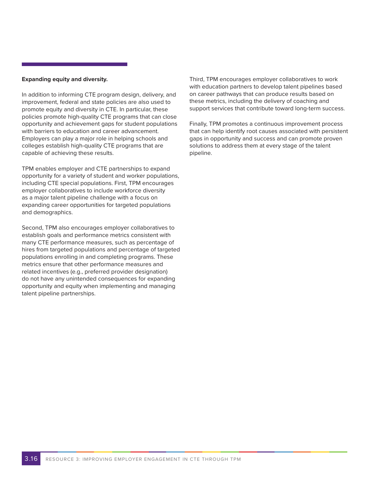#### **Expanding equity and diversity.**

In addition to informing CTE program design, delivery, and improvement, federal and state policies are also used to promote equity and diversity in CTE. In particular, these policies promote high-quality CTE programs that can close opportunity and achievement gaps for student populations with barriers to education and career advancement. Employers can play a major role in helping schools and colleges establish high-quality CTE programs that are capable of achieving these results.

TPM enables employer and CTE partnerships to expand opportunity for a variety of student and worker populations, including CTE special populations. First, TPM encourages employer collaboratives to include workforce diversity as a major talent pipeline challenge with a focus on expanding career opportunities for targeted populations and demographics.

Second, TPM also encourages employer collaboratives to establish goals and performance metrics consistent with many CTE performance measures, such as percentage of hires from targeted populations and percentage of targeted populations enrolling in and completing programs. These metrics ensure that other performance measures and related incentives (e.g., preferred provider designation) do not have any unintended consequences for expanding opportunity and equity when implementing and managing talent pipeline partnerships.

Third, TPM encourages employer collaboratives to work with education partners to develop talent pipelines based on career pathways that can produce results based on these metrics, including the delivery of coaching and support services that contribute toward long-term success.

Finally, TPM promotes a continuous improvement process that can help identify root causes associated with persistent gaps in opportunity and success and can promote proven solutions to address them at every stage of the talent pipeline.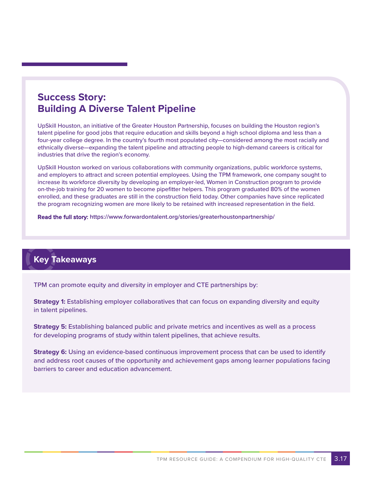## **Success Story: Building A Diverse Talent Pipeline**

UpSkill Houston, an initiative of the Greater Houston Partnership, focuses on building the Houston region's talent pipeline for good jobs that require education and skills beyond a high school diploma and less than a four-year college degree. In the country's fourth most populated city—considered among the most racially and ethnically diverse—expanding the talent pipeline and attracting people to high-demand careers is critical for industries that drive the region's economy.

UpSkill Houston worked on various collaborations with community organizations, public workforce systems, and employers to attract and screen potential employees. Using the TPM framework, one company sought to increase its workforce diversity by developing an employer-led, Women in Construction program to provide on-the-job training for 20 women to become pipefitter helpers. This program graduated 80% of the women enrolled, and these graduates are still in the construction field today. Other companies have since replicated the program recognizing women are more likely to be retained with increased representation in the field.

**Read the full story: [https://www.forwardontalent.org/stories/greaterhou](https://www.forwardontalent.org/stories/greaterhoustonpartnership/)stonpartnership/**

## **Key Takeaways**

TPM can promote equity and diversity in employer and CTE partnerships by:

**Strategy 1:** Establishing employer collaboratives that can focus on expanding diversity and equity in talent pipelines.

**Strategy 5:** Establishing balanced public and private metrics and incentives as well as a process for developing programs of study within talent pipelines, that achieve results.

**Strategy 6:** Using an evidence-based continuous improvement process that can be used to identify and address root causes of the opportunity and achievement gaps among learner populations facing barriers to career and education advancement.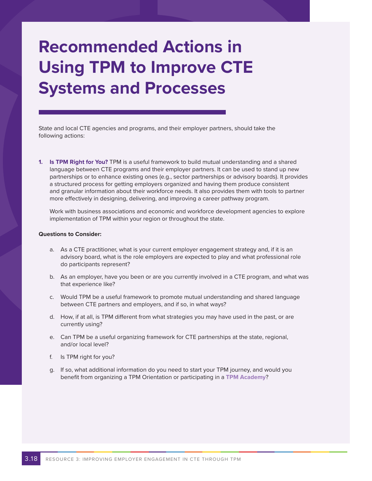# **Recommended Actions in Using TPM to Improve CTE Systems and Processes**

State and local CTE agencies and programs, and their employer partners, should take the following actions:

**1. Is TPM Right for You?** TPM is a useful framework to build mutual understanding and a shared language between CTE programs and their employer partners. It can be used to stand up new partnerships or to enhance existing ones (e.g., sector partnerships or advisory boards). It provides a structured process for getting employers organized and having them produce consistent and granular information about their workforce needs. It also provides them with tools to partner more effectively in designing, delivering, and improving a career pathway program.

Work with business associations and economic and workforce development agencies to explore implementation of TPM within your region or throughout the state.

#### **Questions to Consider:**

- a. As a CTE practitioner, what is your current employer engagement strategy and, if it is an advisory board, what is the role employers are expected to play and what professional role do participants represent?
- b. As an employer, have you been or are you currently involved in a CTE program, and what was that experience like?
- c. Would TPM be a useful framework to promote mutual understanding and shared language between CTE partners and employers, and if so, in what ways?
- d. How, if at all, is TPM different from what strategies you may have used in the past, or are currently using?
- e. Can TPM be a useful organizing framework for CTE partnerships at the state, regional, and/or local level?
- f. Is TPM right for you?
- g. If so, what additional information do you need to start your TPM journey, and would you benefit from organizing a TPM Orientation or participating in a **TPM Academy**?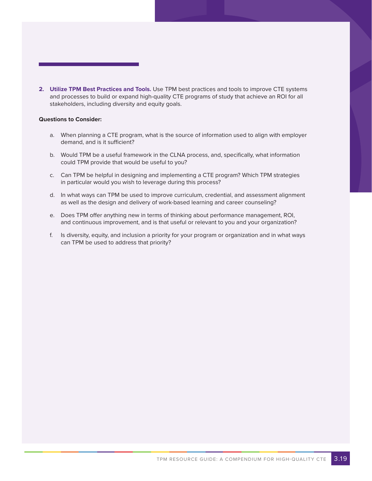**2. Utilize TPM Best Practices and Tools.** Use TPM best practices and tools to improve CTE systems and processes to build or expand high-quality CTE programs of study that achieve an ROI for all stakeholders, including diversity and equity goals.

#### **Questions to Consider:**

- a. When planning a CTE program, what is the source of information used to align with employer demand, and is it sufficient?
- b. Would TPM be a useful framework in the CLNA process, and, specifically, what information could TPM provide that would be useful to you?
- c. Can TPM be helpful in designing and implementing a CTE program? Which TPM strategies in particular would you wish to leverage during this process?
- d. In what ways can TPM be used to improve curriculum, credential, and assessment alignment as well as the design and delivery of work-based learning and career counseling?
- e. Does TPM offer anything new in terms of thinking about performance management, ROI, and continuous improvement, and is that useful or relevant to you and your organization?
- f. Is diversity, equity, and inclusion a priority for your program or organization and in what ways can TPM be used to address that priority?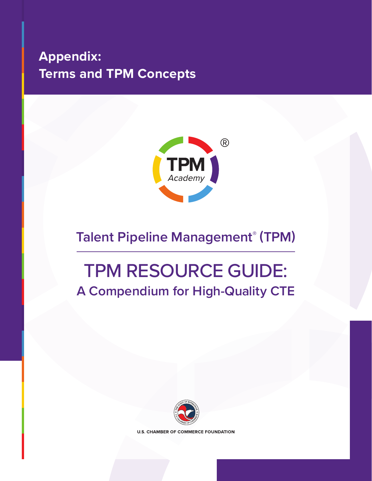## <span id="page-54-0"></span>**Appendix: Terms and TPM Concepts**



## **Talent Pipeline Management® (TPM)**

## TPM RESOURCE GUIDE: **A Compendium for High-Quality CTE**



**U.S. CHAMBER OF COMMERCE FOUNDATION**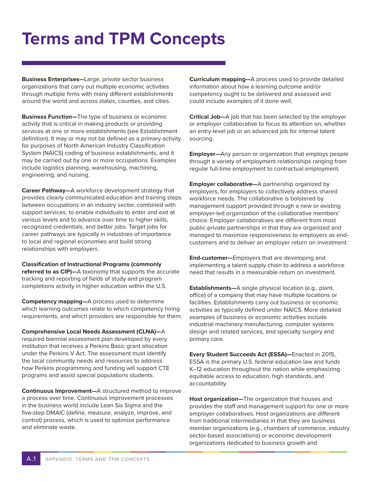## **Terms and TPM Concepts**

**Business Enterprises—**Large, private sector business organizations that carry out multiple economic activities through multiple firms with many different establishments around the world and across states, counties, and cities.

**Business Function—**The type of business or economic activity that is critical in making products or providing services at one or more establishments (see Establishment definition). It may or may not be defined as a primary activity for purposes of North American Industry Classification System (NAICS) coding of business establishments, and it may be carried out by one or more occupations. Examples include logistics planning, warehousing, machining, engineering, and nursing.

**Career Pathway—**A workforce development strategy that provides clearly communicated education and training steps between occupations in an industry sector, combined with support services, to enable individuals to enter and exit at various levels and to advance over time to higher skills, recognized credentials, and better jobs. Target jobs for career pathways are typically in industries of importance to local and regional economies and build strong relationships with employers.

**Classification of Instructional Programs (commonly referred to as CIP)—**A taxonomy that supports the accurate tracking and reporting of fields of study and program completions activity in higher education within the U.S.

**Competency mapping—**A process used to determine which learning outcomes relate to which competency hiring requirements, and which providers are responsible for them.

**Comprehensive Local Needs Assessment (CLNA)—**A required biennial assessment plan developed by every institution that receives a Perkins Basic grant allocation under the Perkins V Act. The assessment must identify the local community needs and resources to address how Perkins programming and funding will support CTE programs and assist special populations students.

**Continuous Improvement—**A structured method to improve a process over time. Continuous improvement processes in the business world include Lean Six Sigma and the five-step DMAIC (define, measure, analyze, improve, and control) process, which is used to optimize performance and eliminate waste.

**Curriculum mapping—**A process used to provide detailed information about how a learning outcome and/or competency ought to be delivered and assessed and could include examples of it done well.

**Critical Job—**A job that has been selected by the employer or employer collaborative to focus its attention on, whether an entry-level job or an advanced job for internal talent sourcing.

**Employer—**Any person or organization that employs people through a variety of employment relationships ranging from regular full-time employment to contractual employment.

**Employer collaborative—**A partnership organized by employers, for employers to collectively address shared workforce needs. The collaborative is bolstered by management support provided through a new or existing employer-led organization of the collaborative members' choice. Employer collaboratives are different from most public-private partnerships in that they are organized and managed to maximize responsiveness to employers as endcustomers and to deliver an employer return on investment.

**End-customer—**Employers that are developing and implementing a talent supply chain to address a workforce need that results in a measurable return on investment.

**Establishments—**A single physical location (e.g., plant, office) of a company that may have multiple locations or facilities. Establishments carry out business or economic activities as typically defined under NAICS. More detailed examples of business or economic activities include industrial machinery manufacturing, computer systems design and related services, and specialty surgery and primary care.

**Every Student Succeeds Act (ESSA)—**Enacted in 2015, ESSA is the primary U.S. federal education law and funds K–12 education throughout the nation while emphasizing equitable access to education, high standards, and accountability.

**Host organization—**The organization that houses and provides the staff and management support for one or more employer collaboratives. Host organizations are different from traditional intermediaries in that they are business member organizations (e.g., chambers of commerce, industry sector-based associations) or economic development organizations dedicated to business growth and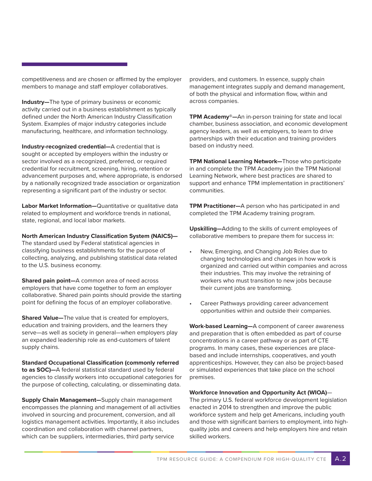competitiveness and are chosen or affirmed by the employer members to manage and staff employer collaboratives.

**Industry—**The type of primary business or economic activity carried out in a business establishment as typically defined under the North American Industry Classification System. Examples of major industry categories include manufacturing, healthcare, and information technology.

**Industry-recognized credential—**A credential that is sought or accepted by employers within the industry or sector involved as a recognized, preferred, or required credential for recruitment, screening, hiring, retention or advancement purposes and, where appropriate, is endorsed by a nationally recognized trade association or organization representing a significant part of the industry or sector.

**Labor Market Information—**Quantitative or qualitative data related to employment and workforce trends in national, state, regional, and local labor markets.

**North American Industry Classification System (NAICS)—** The standard used by Federal statistical agencies in classifying business establishments for the purpose of collecting, analyzing, and publishing statistical data related to the U.S. business economy.

**Shared pain point—**A common area of need across employers that have come together to form an employer collaborative. Shared pain points should provide the starting point for defining the focus of an employer collaborative.

**Shared Value—**The value that is created for employers, education and training providers, and the learners they serve—as well as society in general—when employers play an expanded leadership role as end-customers of talent supply chains.

**Standard Occupational Classification (commonly referred to as SOC)—**A federal statistical standard used by federal agencies to classify workers into occupational categories for the purpose of collecting, calculating, or disseminating data.

**Supply Chain Management—**Supply chain management encompasses the planning and management of all activities involved in sourcing and procurement, conversion, and all logistics management activities. Importantly, it also includes coordination and collaboration with channel partners, which can be suppliers, intermediaries, third party service

providers, and customers. In essence, supply chain management integrates supply and demand management, of both the physical and information flow, within and across companies.

**TPM Academy®—**An in-person training for state and local chamber, business association, and economic development agency leaders, as well as employers, to learn to drive partnerships with their education and training providers based on industry need.

**TPM National Learning Network—**Those who participate in and complete the TPM Academy join the TPM National Learning Network, where best practices are shared to support and enhance TPM implementation in practitioners' communities.

**TPM Practitioner—**A person who has participated in and completed the TPM Academy training program.

**Upskilling—**Adding to the skills of current employees of collaborative members to prepare them for success in:

- New, Emerging, and Changing Job Roles due to changing technologies and changes in how work is organized and carried out within companies and across their industries. This may involve the retraining of workers who must transition to new jobs because their current jobs are transforming.
- Career Pathways providing career advancement opportunities within and outside their companies.

**Work-based Learning—**A component of career awareness and preparation that is often embedded as part of course concentrations in a career pathway or as part of CTE programs. In many cases, these experiences are placebased and include internships, cooperatives, and youth apprenticeships. However, they can also be project-based or simulated experiences that take place on the school premises.

#### **Workforce Innovation and Opportunity Act (WIOA)**—

The primary U.S. federal workforce development legislation enacted in 2014 to strengthen and improve the public workforce system and help get Americans, including youth and those with significant barriers to employment, into highquality jobs and careers and help employers hire and retain skilled workers.